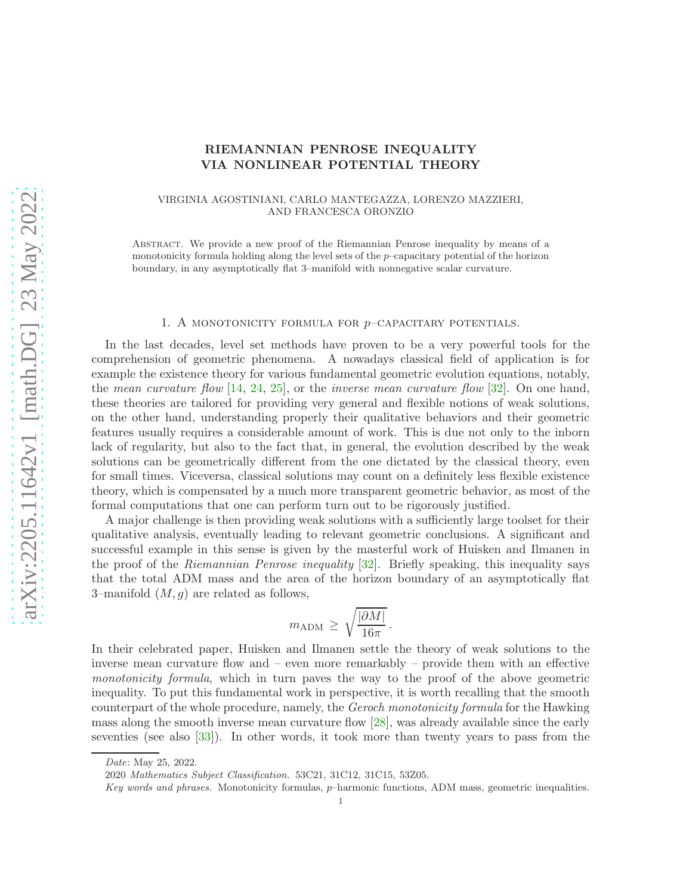# RIEMANNIAN PENROSE INEQUALITY VIA NONLINEAR POTENTIAL THEORY

### VIRGINIA AGOSTINIANI, CARLO MANTEGAZZA, LORENZO MAZZIERI, AND FRANCESCA ORONZIO

Abstract. We provide a new proof of the Riemannian Penrose inequality by means of a monotonicity formula holding along the level sets of the p–capacitary potential of the horizon boundary, in any asymptotically flat 3–manifold with nonnegative scalar curvature.

#### 1. A MONOTONICITY FORMULA FOR  $p$ –CAPACITARY POTENTIALS.

In the last decades, level set methods have proven to be a very powerful tools for the comprehension of geometric phenomena. A nowadays classical field of application is for example the existence theory for various fundamental geometric evolution equations, notably, the *mean curvature flow* [\[14,](#page-24-0) [24,](#page-25-0) [25\]](#page-25-1), or the *inverse mean curvature flow* [\[32\]](#page-25-2). On one hand, these theories are tailored for providing very general and flexible notions of weak solutions, on the other hand, understanding properly their qualitative behaviors and their geometric features usually requires a considerable amount of work. This is due not only to the inborn lack of regularity, but also to the fact that, in general, the evolution described by the weak solutions can be geometrically different from the one dictated by the classical theory, even for small times. Viceversa, classical solutions may count on a definitely less flexible existence theory, which is compensated by a much more transparent geometric behavior, as most of the formal computations that one can perform turn out to be rigorously justified.

A major challenge is then providing weak solutions with a sufficiently large toolset for their qualitative analysis, eventually leading to relevant geometric conclusions. A significant and successful example in this sense is given by the masterful work of Huisken and Ilmanen in the proof of the *Riemannian Penrose inequality* [\[32\]](#page-25-2). Briefly speaking, this inequality says that the total ADM mass and the area of the horizon boundary of an asymptotically flat 3–manifold  $(M, g)$  are related as follows,

$$
m_{\rm ADM} \ge \sqrt{\frac{|\partial M|}{16\pi}}.
$$

In their celebrated paper, Huisken and Ilmanen settle the theory of weak solutions to the inverse mean curvature flow and – even more remarkably – provide them with an effective *monotonicity formula*, which in turn paves the way to the proof of the above geometric inequality. To put this fundamental work in perspective, it is worth recalling that the smooth counterpart of the whole procedure, namely, the *Geroch monotonicity formula* for the Hawking mass along the smooth inverse mean curvature flow [\[28\]](#page-25-3), was already available since the early seventies (see also [\[33\]](#page-25-4)). In other words, it took more than twenty years to pass from the

Date: May 25, 2022.

<sup>2020</sup> Mathematics Subject Classification. 53C21, 31C12, 31C15, 53Z05.

Key words and phrases. Monotonicity formulas, p–harmonic functions, ADM mass, geometric inequalities.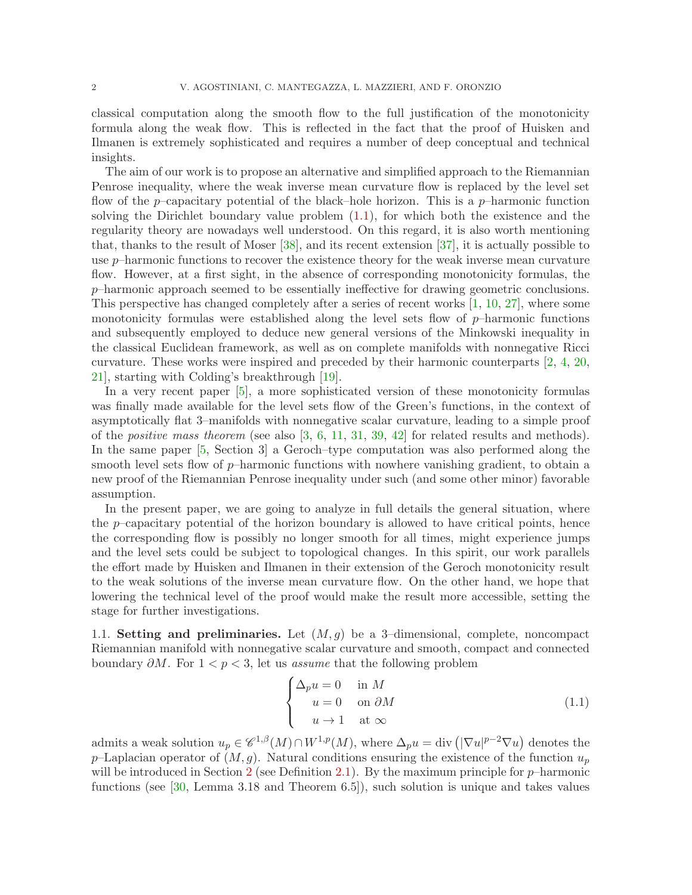classical computation along the smooth flow to the full justification of the monotonicity formula along the weak flow. This is reflected in the fact that the proof of Huisken and Ilmanen is extremely sophisticated and requires a number of deep conceptual and technical insights.

The aim of our work is to propose an alternative and simplified approach to the Riemannian Penrose inequality, where the weak inverse mean curvature flow is replaced by the level set flow of the p–capacitary potential of the black–hole horizon. This is a p–harmonic function solving the Dirichlet boundary value problem [\(1.1\)](#page-1-0), for which both the existence and the regularity theory are nowadays well understood. On this regard, it is also worth mentioning that, thanks to the result of Moser [\[38\]](#page-25-5), and its recent extension [\[37\]](#page-25-6), it is actually possible to use p–harmonic functions to recover the existence theory for the weak inverse mean curvature flow. However, at a first sight, in the absence of corresponding monotonicity formulas, the  $p$ –harmonic approach seemed to be essentially ineffective for drawing geometric conclusions. This perspective has changed completely after a series of recent works [\[1,](#page-24-1) [10,](#page-24-2) [27\]](#page-25-7), where some monotonicity formulas were established along the level sets flow of  $p$ –harmonic functions and subsequently employed to deduce new general versions of the Minkowski inequality in the classical Euclidean framework, as well as on complete manifolds with nonnegative Ricci curvature. These works were inspired and preceded by their harmonic counterparts [\[2,](#page-24-3) [4,](#page-24-4) [20,](#page-25-8) [21\]](#page-25-9), starting with Colding's breakthrough [\[19\]](#page-25-10).

In a very recent paper [\[5\]](#page-24-5), a more sophisticated version of these monotonicity formulas was finally made available for the level sets flow of the Green's functions, in the context of asymptotically flat 3–manifolds with nonnegative scalar curvature, leading to a simple proof of the *positive mass theorem* (see also [\[3,](#page-24-6) [6,](#page-24-7) [11,](#page-24-8) [31,](#page-25-11) [39,](#page-25-12) [42\]](#page-25-13) for related results and methods). In the same paper [\[5,](#page-24-5) Section 3] a Geroch–type computation was also performed along the smooth level sets flow of  $p$ –harmonic functions with nowhere vanishing gradient, to obtain a new proof of the Riemannian Penrose inequality under such (and some other minor) favorable assumption.

In the present paper, we are going to analyze in full details the general situation, where the p–capacitary potential of the horizon boundary is allowed to have critical points, hence the corresponding flow is possibly no longer smooth for all times, might experience jumps and the level sets could be subject to topological changes. In this spirit, our work parallels the effort made by Huisken and Ilmanen in their extension of the Geroch monotonicity result to the weak solutions of the inverse mean curvature flow. On the other hand, we hope that lowering the technical level of the proof would make the result more accessible, setting the stage for further investigations.

1.1. Setting and preliminaries. Let  $(M, g)$  be a 3-dimensional, complete, noncompact Riemannian manifold with nonnegative scalar curvature and smooth, compact and connected boundary ∂M. For 1 < p < 3, let us *assume* that the following problem

<span id="page-1-0"></span>
$$
\begin{cases} \Delta_p u = 0 & \text{in } M \\ u = 0 & \text{on } \partial M \\ u \to 1 & \text{at } \infty \end{cases}
$$
 (1.1)

admits a weak solution  $u_p \in \mathscr{C}^{1,\beta}(M) \cap W^{1,p}(M)$ , where  $\Delta_p u = \text{div} \left( |\nabla u|^{p-2} \nabla u \right)$  denotes the p–Laplacian operator of  $(M, g)$ . Natural conditions ensuring the existence of the function  $u_p$ will be introduced in Section [2](#page-16-0) (see Definition [2.1\)](#page-16-1). By the maximum principle for  $p$ -harmonic functions (see [\[30,](#page-25-14) Lemma 3.18 and Theorem 6.5]), such solution is unique and takes values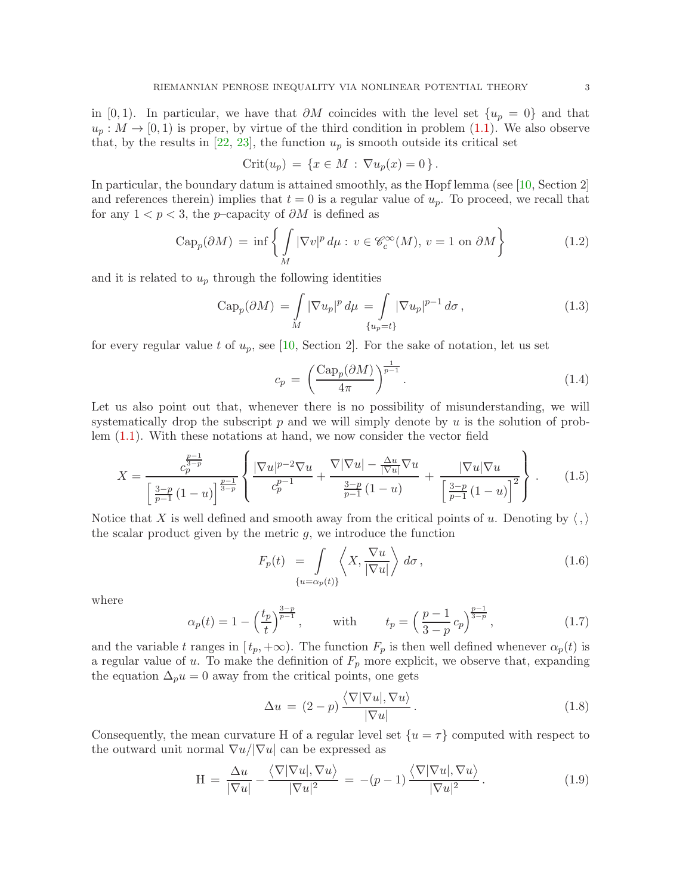in [0,1). In particular, we have that  $\partial M$  coincides with the level set  $\{u_p = 0\}$  and that  $u_p: M \to [0,1)$  is proper, by virtue of the third condition in problem [\(1.1\)](#page-1-0). We also observe that, by the results in [\[22,](#page-25-15) [23\]](#page-25-16), the function  $u_p$  is smooth outside its critical set

$$
Crit(u_p) = \{ x \in M : \nabla u_p(x) = 0 \}.
$$

In particular, the boundary datum is attained smoothly, as the Hopf lemma (see [\[10,](#page-24-2) Section 2] and references therein) implies that  $t = 0$  is a regular value of  $u_p$ . To proceed, we recall that for any  $1 < p < 3$ , the p–capacity of  $\partial M$  is defined as

$$
\operatorname{Cap}_p(\partial M) = \inf \left\{ \int_M |\nabla v|^p \, d\mu : v \in \mathcal{C}_c^{\infty}(M), \, v = 1 \text{ on } \partial M \right\} \tag{1.2}
$$

and it is related to  $u_p$  through the following identities

$$
\text{Cap}_p(\partial M) = \int_M |\nabla u_p|^p \, d\mu = \int_{\{u_p = t\}} |\nabla u_p|^{p-1} \, d\sigma,
$$
\n(1.3)

for every regular value t of  $u_p$ , see [\[10,](#page-24-2) Section 2]. For the sake of notation, let us set

<span id="page-2-7"></span><span id="page-2-5"></span><span id="page-2-1"></span><span id="page-2-0"></span>
$$
c_p = \left(\frac{\text{Cap}_p(\partial M)}{4\pi}\right)^{\frac{1}{p-1}}.\tag{1.4}
$$

Let us also point out that, whenever there is no possibility of misunderstanding, we will systematically drop the subscript  $p$  and we will simply denote by  $u$  is the solution of problem [\(1.1\)](#page-1-0). With these notations at hand, we now consider the vector field

$$
X = \frac{c_p^{\frac{p-1}{3-p}}}{\left[\frac{3-p}{p-1}(1-u)\right]^{\frac{p-1}{3-p}}} \left\{ \frac{|\nabla u|^{p-2}\nabla u}{c_p^{p-1}} + \frac{\nabla|\nabla u| - \frac{\Delta u}{|\nabla u|}\nabla u}{\frac{3-p}{p-1}(1-u)} + \frac{|\nabla u|\nabla u}{\left[\frac{3-p}{p-1}(1-u)\right]^2} \right\}.
$$
(1.5)

Notice that X is well defined and smooth away from the critical points of u. Denoting by  $\langle , \rangle$ the scalar product given by the metric  $g$ , we introduce the function

<span id="page-2-2"></span>
$$
F_p(t) = \int_{\{u = \alpha_p(t)\}} \left\langle X, \frac{\nabla u}{|\nabla u|} \right\rangle d\sigma, \qquad (1.6)
$$

where

$$
\alpha_p(t) = 1 - \left(\frac{t_p}{t}\right)^{\frac{3-p}{p-1}}, \quad \text{with} \quad t_p = \left(\frac{p-1}{3-p}c_p\right)^{\frac{p-1}{3-p}}, \tag{1.7}
$$

and the variable t ranges in  $[t_p, +\infty)$ . The function  $F_p$  is then well defined whenever  $\alpha_p(t)$  is a regular value of  $u$ . To make the definition of  $F_p$  more explicit, we observe that, expanding the equation  $\Delta_p u = 0$  away from the critical points, one gets

<span id="page-2-6"></span><span id="page-2-4"></span><span id="page-2-3"></span>
$$
\Delta u = (2 - p) \frac{\langle \nabla |\nabla u|, \nabla u \rangle}{|\nabla u|}.
$$
\n(1.8)

Consequently, the mean curvature H of a regular level set  $\{u = \tau\}$  computed with respect to the outward unit normal  $\nabla u / |\nabla u|$  can be expressed as

$$
H = \frac{\Delta u}{|\nabla u|} - \frac{\langle \nabla |\nabla u|, \nabla u \rangle}{|\nabla u|^2} = -(p-1) \frac{\langle \nabla |\nabla u|, \nabla u \rangle}{|\nabla u|^2}.
$$
 (1.9)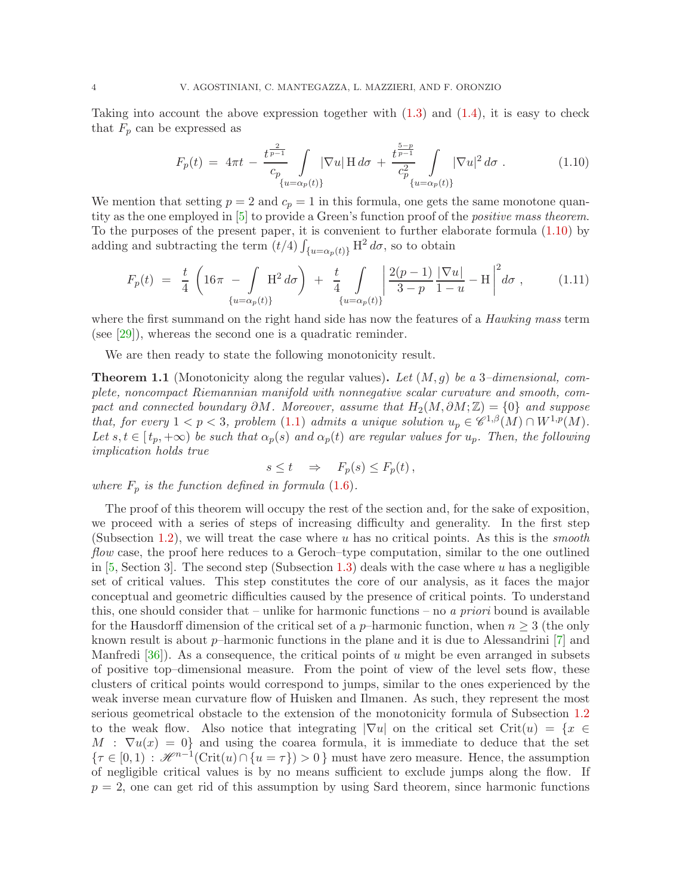Taking into account the above expression together with  $(1.3)$  and  $(1.4)$ , it is easy to check that  $F_p$  can be expressed as

<span id="page-3-0"></span>
$$
F_p(t) = 4\pi t - \frac{t^{\frac{2}{p-1}}}{c_p} \int_{\{u = \alpha_p(t)\}} |\nabla u| \operatorname{H} d\sigma + \frac{t^{\frac{5-p}{p-1}}}{c_p^2} \int_{\{u = \alpha_p(t)\}} |\nabla u|^2 d\sigma.
$$
 (1.10)

We mention that setting  $p = 2$  and  $c_p = 1$  in this formula, one gets the same monotone quantity as the one employed in [\[5\]](#page-24-5) to provide a Green's function proof of the *positive mass theorem*. To the purposes of the present paper, it is convenient to further elaborate formula [\(1.10\)](#page-3-0) by adding and subtracting the term  $(t/4) \int_{\{u=\alpha_p(t)\}} H^2 d\sigma$ , so to obtain

$$
F_p(t) = \frac{t}{4} \left( 16\pi - \int_{\{u = \alpha_p(t)\}} H^2 d\sigma \right) + \frac{t}{4} \int_{\{u = \alpha_p(t)\}} \left| \frac{2(p-1)}{3-p} \frac{|\nabla u|}{1-u} - H \right|^2 d\sigma , \quad (1.11)
$$

where the first summand on the right hand side has now the features of a *Hawking mass* term (see [\[29\]](#page-25-17)), whereas the second one is a quadratic reminder.

We are then ready to state the following monotonicity result.

<span id="page-3-1"></span>Theorem 1.1 (Monotonicity along the regular values). *Let* (M, g) *be a* 3*–dimensional, complete, noncompact Riemannian manifold with nonnegative scalar curvature and smooth, compact and connected boundary*  $\partial M$ *. Moreover, assume that*  $H_2(M, \partial M; \mathbb{Z}) = \{0\}$  *and suppose that, for every*  $1 < p < 3$ , problem [\(1.1\)](#page-1-0) *admits a unique solution*  $u_p \in \mathscr{C}^{1,\beta}(M) \cap W^{1,p}(M)$ . Let  $s, t \in [t_p, +\infty)$  be such that  $\alpha_p(s)$  and  $\alpha_p(t)$  are regular values for  $u_p$ . Then, the following *implication holds true*

<span id="page-3-2"></span>
$$
s \le t \quad \Rightarrow \quad F_p(s) \le F_p(t) \,,
$$

*where*  $F_p$  *is the function defined in formula* [\(1.6\)](#page-2-2)*.* 

The proof of this theorem will occupy the rest of the section and, for the sake of exposition, we proceed with a series of steps of increasing difficulty and generality. In the first step (Subsection [1.2\)](#page-4-0), we will treat the case where u has no critical points. As this is the *smooth flow* case, the proof here reduces to a Geroch–type computation, similar to the one outlined in  $[5, Section 3]$ . The second step (Subsection [1.3\)](#page-5-0) deals with the case where u has a negligible set of critical values. This step constitutes the core of our analysis, as it faces the major conceptual and geometric difficulties caused by the presence of critical points. To understand this, one should consider that – unlike for harmonic functions – no *a priori* bound is available for the Hausdorff dimension of the critical set of a p–harmonic function, when  $n \geq 3$  (the only known result is about  $p$ –harmonic functions in the plane and it is due to Alessandrini [\[7\]](#page-24-9) and Manfredi [\[36\]](#page-25-18)). As a consequence, the critical points of u might be even arranged in subsets of positive top–dimensional measure. From the point of view of the level sets flow, these clusters of critical points would correspond to jumps, similar to the ones experienced by the weak inverse mean curvature flow of Huisken and Ilmanen. As such, they represent the most serious geometrical obstacle to the extension of the monotonicity formula of Subsection [1.2](#page-4-0) to the weak flow. Also notice that integrating  $|\nabla u|$  on the critical set Crit $(u) = \{x \in$  $M : \nabla u(x) = 0$  and using the coarea formula, it is immediate to deduce that the set  ${\tau \in [0,1) : \mathscr{H}^{n-1}(\text{Crit}(u) \cap \{u = \tau\}) > 0}$  must have zero measure. Hence, the assumption of negligible critical values is by no means sufficient to exclude jumps along the flow. If  $p = 2$ , one can get rid of this assumption by using Sard theorem, since harmonic functions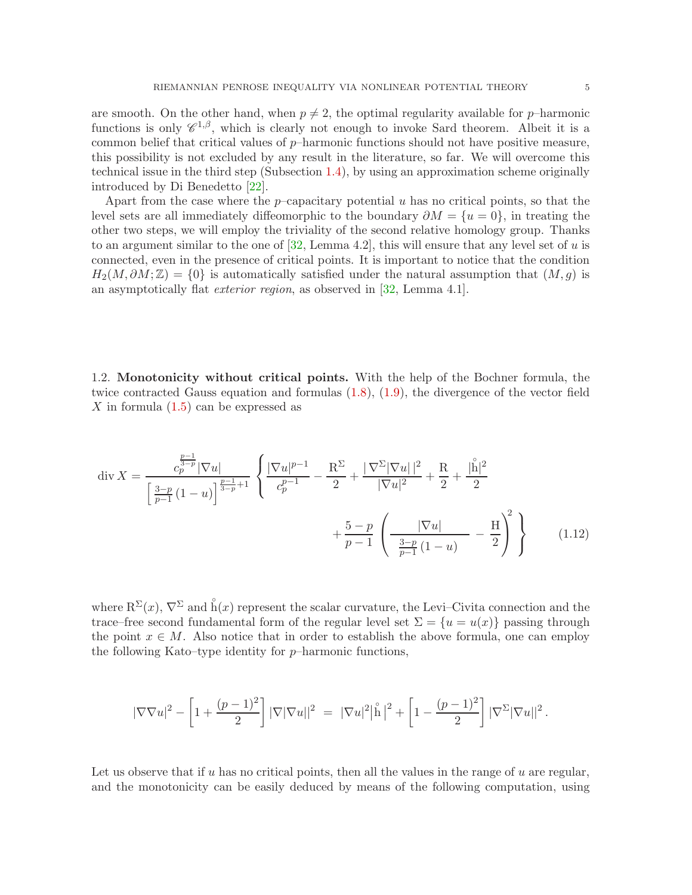<span id="page-4-1"></span>

are smooth. On the other hand, when  $p \neq 2$ , the optimal regularity available for p–harmonic functions is only  $\mathscr{C}^{1,\beta}$ , which is clearly not enough to invoke Sard theorem. Albeit it is a common belief that critical values of  $p$ –harmonic functions should not have positive measure, this possibility is not excluded by any result in the literature, so far. We will overcome this technical issue in the third step (Subsection [1.4\)](#page-9-0), by using an approximation scheme originally introduced by Di Benedetto [\[22\]](#page-25-15).

Apart from the case where the p–capacitary potential  $u$  has no critical points, so that the level sets are all immediately diffeomorphic to the boundary  $\partial M = \{u = 0\}$ , in treating the other two steps, we will employ the triviality of the second relative homology group. Thanks to an argument similar to the one of  $[32, \text{Lemma } 4.2]$ , this will ensure that any level set of u is connected, even in the presence of critical points. It is important to notice that the condition  $H_2(M, \partial M; \mathbb{Z}) = \{0\}$  is automatically satisfied under the natural assumption that  $(M, q)$  is an asymptotically flat *exterior region*, as observed in [\[32,](#page-25-2) Lemma 4.1].

<span id="page-4-0"></span>1.2. Monotonicity without critical points. With the help of the Bochner formula, the twice contracted Gauss equation and formulas [\(1.8\)](#page-2-3), [\(1.9\)](#page-2-4), the divergence of the vector field X in formula  $(1.5)$  can be expressed as

$$
\operatorname{div} X = \frac{c_p^{\frac{p-1}{2p}} |\nabla u|}{\left[\frac{3-p}{p-1} (1-u)\right]^{\frac{p-1}{2p}+1}} \left\{ \frac{|\nabla u|^{p-1}}{c_p^{p-1}} - \frac{R^{\Sigma}}{2} + \frac{|\nabla^{\Sigma} |\nabla u||^{2}}{|\nabla u|^{2}} + \frac{R}{2} + \frac{|\overset{\circ}{h}|^{2}}{2} + \frac{|\overset{\circ}{h}|^{2}}{p-1} \left(\frac{|\nabla u|}{\frac{3-p}{p-1} (1-u)} - \frac{H}{2}\right)^{2} \right\}
$$
(1.12)

where  $R^{\Sigma}(x)$ ,  $\nabla^{\Sigma}$  and  $\r{h}(x)$  represent the scalar curvature, the Levi–Civita connection and the trace–free second fundamental form of the regular level set  $\Sigma = \{u = u(x)\}\$  passing through the point  $x \in M$ . Also notice that in order to establish the above formula, one can employ the following Kato–type identity for  $p$ –harmonic functions,

$$
|\nabla \nabla u|^2 - \left[1 + \frac{(p-1)^2}{2}\right] |\nabla |\nabla u||^2 = |\nabla u|^2 |\overset{\circ}{\mathbf{h}}|^2 + \left[1 - \frac{(p-1)^2}{2}\right] |\nabla^{\Sigma} |\nabla u||^2.
$$

Let us observe that if u has no critical points, then all the values in the range of u are regular, and the monotonicity can be easily deduced by means of the following computation, using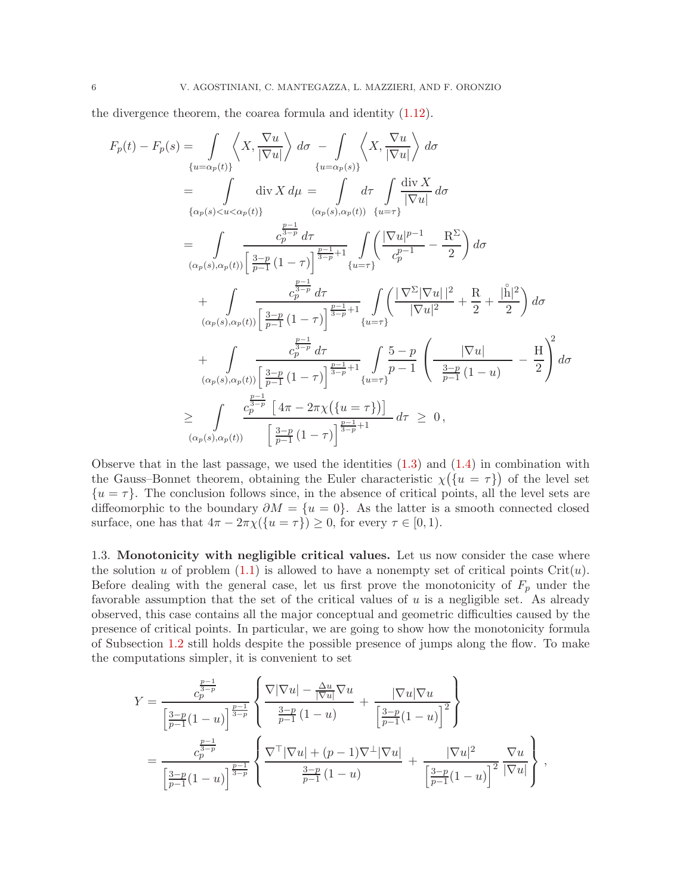the divergence theorem, the coarea formula and identity [\(1.12\)](#page-4-1).

$$
F_p(t) - F_p(s) = \int_{\{u = \alpha_p(t)\}} \left\langle X, \frac{\nabla u}{|\nabla u|} \right\rangle d\sigma - \int_{\{u = \alpha_p(s)\}} \left\langle X, \frac{\nabla u}{|\nabla u|} \right\rangle d\sigma
$$
  
\n
$$
= \int_{\{\alpha_p(s) < u < \alpha_p(t)\}} \operatorname{div} X d\mu = \int_{\{\alpha_p(s), \alpha_p(t)\}} d\tau \int_{\{u = \tau\}} \frac{\operatorname{div} X}{|\nabla u|} d\sigma
$$
  
\n
$$
= \int_{\{\alpha_p(s), \alpha_p(t)\}} \frac{\frac{p-1}{2}}{p-1} d\tau \int_{\{u = \tau\}} \left( \frac{|\nabla u|^{p-1}}{c_p^{p-1}} - \frac{R^{\Sigma}}{2} \right) d\sigma
$$
  
\n
$$
+ \int_{\{\alpha_p(s), \alpha_p(t)\}} \frac{\frac{p-1}{2}}{p-1} (1-\tau) \Big|_{\{y = \tau\}}^{\frac{p-1}{2}} \frac{1}{2} \int_{\{u = \tau\}} \left( \frac{|\nabla u|^{p-1}}{|\nabla u|^{2}} + \frac{R}{2} + \frac{|\mathring{h}|^{2}}{2} \right) d\sigma
$$
  
\n
$$
+ \int_{\{\alpha_p(s), \alpha_p(t)\}} \frac{\frac{p-1}{2}}{p-1} (1-\tau) \Big|_{\{y = \tau\}}^{\frac{p-1}{2}} \frac{1}{2} \int_{\{u = \tau\}} \frac{1}{2} \int_{\{u = \tau\}} \left( \frac{|\nabla u|}{|\nabla u|^{2}} - \frac{H}{2} \right)^{2} d\sigma
$$
  
\n
$$
\geq \int_{\{\alpha_p(s), \alpha_p(t)\}} \frac{\frac{p-1}{2}}{p-1} (1-\tau) \Big|_{\{y = \tau\}}^{\frac{p-1}{2}} \frac{1}{2} \int_{\{u = \tau\}} d\tau \geq 0,
$$
  
\n
$$
\frac{\frac{p-1}{2}}{2} \int_{\{u = \alpha_p(s), \alpha_p(t)\}} \frac{\frac{1}{2} \int_{\{u = \tau\}} \frac{1}{2} (1-\tau) \Big|_{\
$$

Observe that in the last passage, we used the identities  $(1.3)$  and  $(1.4)$  in combination with the Gauss–Bonnet theorem, obtaining the Euler characteristic  $\chi(\lbrace u = \tau \rbrace)$  of the level set  $\{u = \tau\}$ . The conclusion follows since, in the absence of critical points, all the level sets are diffeomorphic to the boundary  $\partial M = \{u = 0\}$ . As the latter is a smooth connected closed surface, one has that  $4\pi - 2\pi \chi(\{u = \tau\}) \geq 0$ , for every  $\tau \in [0, 1)$ .

<span id="page-5-0"></span>1.3. Monotonicity with negligible critical values. Let us now consider the case where the solution u of problem  $(1.1)$  is allowed to have a nonempty set of critical points Crit $(u)$ . Before dealing with the general case, let us first prove the monotonicity of  $F_p$  under the favorable assumption that the set of the critical values of  $u$  is a negligible set. As already observed, this case contains all the major conceptual and geometric difficulties caused by the presence of critical points. In particular, we are going to show how the monotonicity formula of Subsection [1.2](#page-4-0) still holds despite the possible presence of jumps along the flow. To make the computations simpler, it is convenient to set

$$
Y = \frac{c_p^{\frac{p-1}{2-p}}}{\left[\frac{3-p}{p-1}(1-u)\right]^{\frac{p-1}{3-p}}}\left\{\frac{\nabla|\nabla u| - \frac{\Delta u}{|\nabla u|}\nabla u}{\frac{3-p}{p-1}(1-u)} + \frac{|\nabla u|\nabla u}{\left[\frac{3-p}{p-1}(1-u)\right]^2}\right\}
$$
  
= 
$$
\frac{c_p^{\frac{p-1}{3-p}}}{\left[\frac{3-p}{p-1}(1-u)\right]^{\frac{p-1}{3-p}}}\left\{\frac{\nabla^{\top}|\nabla u| + (p-1)\nabla^{\perp}|\nabla u|}{\frac{3-p}{p-1}(1-u)} + \frac{|\nabla u|^2}{\left[\frac{3-p}{p-1}(1-u)\right]^2}\frac{\nabla u}{|\nabla u|}\right\},
$$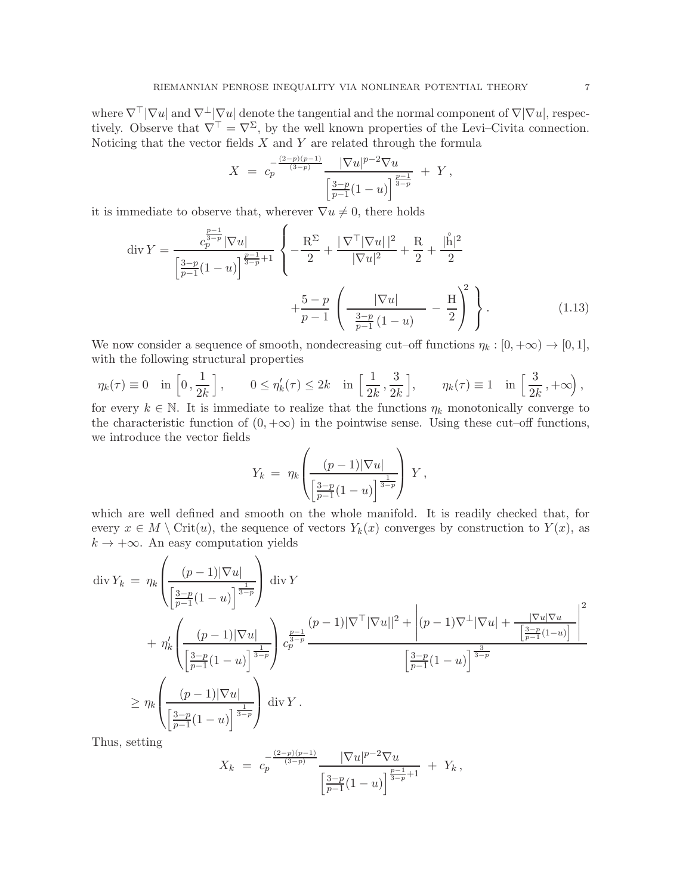where  $\nabla^{\top}|\nabla u|$  and  $\nabla^{\perp}|\nabla u|$  denote the tangential and the normal component of  $\nabla|\nabla u|$ , respectively. Observe that  $\nabla^{\top} = \nabla^{\Sigma}$ , by the well known properties of the Levi–Civita connection. Noticing that the vector fields  $X$  and  $Y$  are related through the formula

$$
X = c_p^{-\frac{(2-p)(p-1)}{(3-p)}} \frac{|\nabla u|^{p-2} \nabla u}{\left[\frac{3-p}{p-1}(1-u)\right]^{\frac{p-1}{3-p}}} + Y,
$$

it is immediate to observe that, wherever  $\nabla u \neq 0$ , there holds

$$
\operatorname{div} Y = \frac{c_p^{\frac{p-1}{2p}} |\nabla u|}{\left[\frac{3-p}{p-1} (1-u)\right]^{\frac{p-1}{2p+1}}} \left\{ -\frac{R^{\Sigma}}{2} + \frac{|\nabla^{\top} |\nabla u| |^2}{|\nabla u|^2} + \frac{R}{2} + \frac{|\overset{\circ}{h}|^2}{2} + \frac{1}{2} + \frac{1}{2} + \frac{1}{2} + \frac{1}{2} + \frac{1}{2} + \frac{1}{2} + \frac{1}{2} + \frac{1}{2} + \frac{1}{2} + \frac{1}{2} + \frac{1}{2} + \frac{1}{2} + \frac{1}{2} + \frac{1}{2} + \frac{1}{2} + \frac{1}{2} + \frac{1}{2} + \frac{1}{2} + \frac{1}{2} + \frac{1}{2} + \frac{1}{2} + \frac{1}{2} + \frac{1}{2} + \frac{1}{2} + \frac{1}{2} + \frac{1}{2} + \frac{1}{2} + \frac{1}{2} + \frac{1}{2} + \frac{1}{2} + \frac{1}{2} + \frac{1}{2} + \frac{1}{2} + \frac{1}{2} + \frac{1}{2} + \frac{1}{2} + \frac{1}{2} + \frac{1}{2} + \frac{1}{2} + \frac{1}{2} + \frac{1}{2} + \frac{1}{2} + \frac{1}{2} + \frac{1}{2} + \frac{1}{2} + \frac{1}{2} + \frac{1}{2} + \frac{1}{2} + \frac{1}{2} + \frac{1}{2} + \frac{1}{2} + \frac{1}{2} + \frac{1}{2} + \frac{1}{2} + \frac{1}{2} + \frac{1}{2} + \frac{1}{2} + \frac{1}{2} + \frac{1}{2} + \frac{1}{2} + \frac{1}{2} + \frac{1}{2} + \frac{1}{2} + \frac{1}{2} + \frac{1}{2} + \frac{1}{2} + \frac{1}{2} + \frac{1}{2} + \frac{1}{2} + \frac{1}{2} + \frac{1}{2} + \frac{1}{2} + \frac{1}{2} + \frac{1}{2} + \frac{1}{2} + \frac{1}{2} + \frac{1}{2} + \frac{1}{2} + \frac{
$$

We now consider a sequence of smooth, nondecreasing cut–off functions  $\eta_k : [0, +\infty) \to [0, 1],$ with the following structural properties

$$
\eta_k(\tau) \equiv 0 \quad \text{in } \left[0, \frac{1}{2k}\right], \qquad 0 \le \eta'_k(\tau) \le 2k \quad \text{in } \left[\frac{1}{2k}, \frac{3}{2k}\right], \qquad \eta_k(\tau) \equiv 1 \quad \text{in } \left[\frac{3}{2k}, +\infty\right),
$$

for every  $k \in \mathbb{N}$ . It is immediate to realize that the functions  $\eta_k$  monotonically converge to the characteristic function of  $(0, +\infty)$  in the pointwise sense. Using these cut–off functions, we introduce the vector fields

<span id="page-6-0"></span>
$$
Y_k = \eta_k \left( \frac{(p-1)|\nabla u|}{\left[\frac{3-p}{p-1}(1-u)\right]^{\frac{1}{3-p}}} \right) Y,
$$

which are well defined and smooth on the whole manifold. It is readily checked that, for every  $x \in M \setminus \text{Crit}(u)$ , the sequence of vectors  $Y_k(x)$  converges by construction to  $Y(x)$ , as  $k \to +\infty$ . An easy computation yields

$$
\begin{split} \operatorname{div} Y_{k} &= \eta_{k} \left( \frac{(p-1)|\nabla u|}{\left[\frac{3-p}{p-1}(1-u)\right]^{\frac{1}{3-p}}} \right) \operatorname{div} Y \\ &+ \eta_{k}' \left( \frac{(p-1)|\nabla u|}{\left[\frac{3-p}{p-1}(1-u)\right]^{\frac{1}{3-p}}} \right) \frac{\frac{p-1}{3}}{c_{p}^{\frac{3-p}{3-p}}} \frac{(p-1)|\nabla^{\top}|\nabla u|^{2} + \left|(p-1)\nabla^{\perp}|\nabla u| + \frac{|\nabla u|\nabla u|}{\left[\frac{3-p}{p-1}(1-u)\right]^{\frac{3}{3-p}}} \right)^{2} \\ &\geq \eta_{k} \left( \frac{(p-1)|\nabla u|}{\left[\frac{3-p}{p-1}(1-u)\right]^{\frac{1}{3-p}}} \right) \operatorname{div} Y \,. \end{split}
$$

Thus, setting

$$
X_k = c_p^{-\frac{(2-p)(p-1)}{(3-p)}} \frac{|\nabla u|^{p-2} \nabla u}{\left[\frac{3-p}{p-1}(1-u)\right]^{\frac{p-1}{3-p}+1}} + Y_k,
$$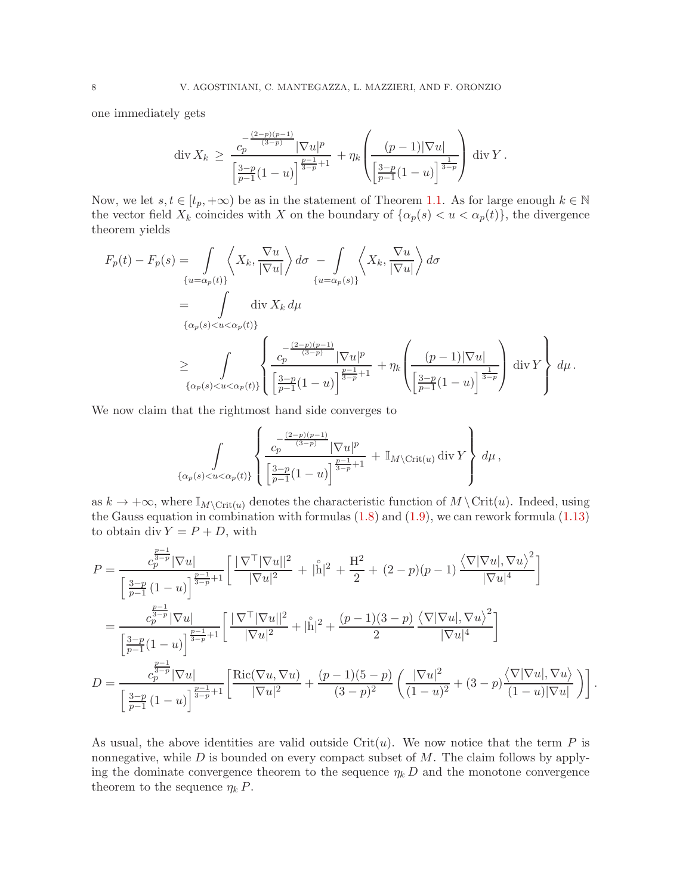one immediately gets

$$
\operatorname{div} X_k \ge \frac{c_p^{\frac{-(2-p)(p-1)}{(3-p)}} |\nabla u|^p}{\left[\frac{3-p}{p-1}(1-u)\right]^{\frac{p-1}{3-p}+1}} + \eta_k \left(\frac{(p-1)|\nabla u|}{\left[\frac{3-p}{p-1}(1-u)\right]^{\frac{1}{3-p}}}\right) \operatorname{div} Y.
$$

Now, we let  $s, t \in [t_p, +\infty)$  be as in the statement of Theorem [1.1.](#page-3-1) As for large enough  $k \in \mathbb{N}$ the vector field  $X_k$  coincides with X on the boundary of  $\{\alpha_p(s) < u < \alpha_p(t)\}\)$ , the divergence theorem yields

$$
F_p(t) - F_p(s) = \int_{\{u = \alpha_p(t)\}} \left\langle X_k, \frac{\nabla u}{|\nabla u|} \right\rangle d\sigma - \int_{\{u = \alpha_p(s)\}} \left\langle X_k, \frac{\nabla u}{|\nabla u|} \right\rangle d\sigma
$$
  
\n
$$
= \int_{\{\alpha_p(s) < u < \alpha_p(t)\}} \operatorname{div} X_k d\mu
$$
  
\n
$$
\geq \int_{\{\alpha_p(s) < u < \alpha_p(t)\}} \left\{ \frac{c_p^{\frac{(2-p)(p-1)}{(3-p)}} |\nabla u|^p}{\left[\frac{3-p}{p-1}(1-u)\right]^{\frac{p-1}{3-p}+1}} + \eta_k \left(\frac{(p-1)|\nabla u|}{\left[\frac{3-p}{p-1}(1-u)\right]^{\frac{1}{3-p}}}\right) \operatorname{div} Y \right\} d\mu.
$$

We now claim that the rightmost hand side converges to

$$
\int_{\{\alpha_p(s) < u < \alpha_p(t)\}} \left\{ \frac{c_p^{\frac{(2-p)(p-1)}{(3-p)}} |\nabla u|^p}{\left[\frac{3-p}{p-1}(1-u)\right]^{\frac{p-1}{3-p}+1}} + \mathbb{I}_{M \setminus \text{Crit}(u)} \, \text{div} \, Y \right\} \, d\mu \, ,
$$

as  $k \to +\infty$ , where  $\mathbb{I}_{M\setminus\mathrm{Crit}(u)}$  denotes the characteristic function of  $M\setminus\mathrm{Crit}(u)$ . Indeed, using the Gauss equation in combination with formulas [\(1.8\)](#page-2-3) and [\(1.9\)](#page-2-4), we can rework formula [\(1.13\)](#page-6-0) to obtain div  $Y = P + D$ , with

$$
P = \frac{c_p^{\frac{p-1}{2-p}} |\nabla u|}{\left[\frac{3-p}{p-1} (1-u)\right]^{\frac{p-1}{3-p}+1}} \left[\frac{|\nabla^{\top} |\nabla u||^2}{|\nabla u|^2} + |\overset{\circ}{\mathbf{h}}|^2 + \frac{H^2}{2} + (2-p)(p-1) \frac{\langle \nabla |\nabla u|, \nabla u \rangle^2}{|\nabla u|^4} \right]
$$
  
\n
$$
= \frac{c_p^{\frac{p-1}{2-p}} |\nabla u|}{\left[\frac{3-p}{p-1} (1-u)\right]^{\frac{p-1}{3-p}+1}} \left[\frac{|\nabla^{\top} |\nabla u||^2}{|\nabla u|^2} + |\overset{\circ}{\mathbf{h}}|^2 + \frac{(p-1)(3-p)}{2} \frac{\langle \nabla |\nabla u|, \nabla u \rangle^2}{|\nabla u|^4} \right]
$$
  
\n
$$
D = \frac{c_p^{\frac{p-1}{2-p}} |\nabla u|}{\left[\frac{3-p}{p-1} (1-u)\right]^{\frac{p-1}{3-p}+1}} \left[\frac{\text{Ric}(\nabla u, \nabla u)}{|\nabla u|^2} + \frac{(p-1)(5-p)}{(3-p)^2} \left(\frac{|\nabla u|^2}{(1-u)^2} + (3-p) \frac{\langle \nabla |\nabla u|, \nabla u \rangle}{(1-u)|\nabla u|}\right)\right].
$$

As usual, the above identities are valid outside  $\text{Crit}(u)$ . We now notice that the term P is nonnegative, while  $D$  is bounded on every compact subset of  $M$ . The claim follows by applying the dominate convergence theorem to the sequence  $\eta_k D$  and the monotone convergence theorem to the sequence  $\eta_k P$ .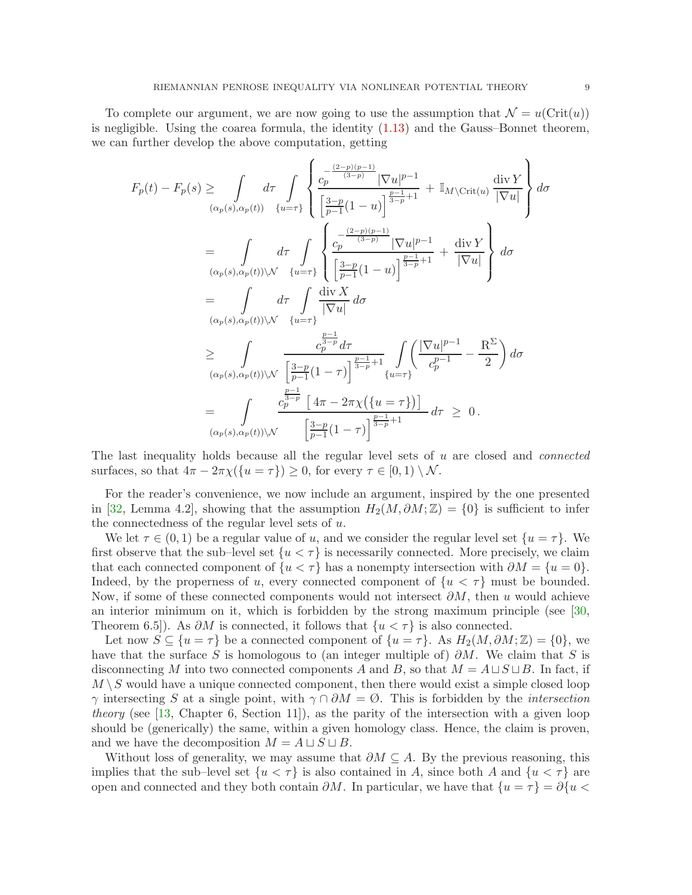To complete our argument, we are now going to use the assumption that  $\mathcal{N} = u(\text{Crit}(u))$ is negligible. Using the coarea formula, the identity [\(1.13\)](#page-6-0) and the Gauss–Bonnet theorem, we can further develop the above computation, getting

$$
F_p(t) - F_p(s) \ge \int_{(\alpha_p(s), \alpha_p(t))} d\tau \int_{\{u=\tau\}} \left\{ \frac{c_p^{\frac{(2-p)(p-1)}{(3-p)}} |\nabla u|^{p-1}}{\left[\frac{3-p}{p-1}(1-u)\right]^{\frac{n-1}{3-p}+1}} + \mathbb{I}_{M \setminus \text{Crit}(u)} \frac{\text{div } Y}{|\nabla u|} \right\} d\sigma
$$
  
\n
$$
= \int_{(\alpha_p(s), \alpha_p(t)) \setminus \mathcal{N}} d\tau \int_{\{u=\tau\}} \left\{ \frac{c_p^{\frac{(2-p)(p-1)}{(3-p)}} |\nabla u|^{p-1}}{\left[\frac{3-p}{p-1}(1-u)\right]^{\frac{p-1}{3-p}+1}} + \frac{\text{div } Y}{|\nabla u|} \right\} d\sigma
$$
  
\n
$$
= \int_{(\alpha_p(s), \alpha_p(t)) \setminus \mathcal{N}} d\tau \int_{\{u=\tau\}} \frac{\text{div } X}{|\nabla u|} d\sigma
$$
  
\n
$$
\ge \int_{(\alpha_p(s), \alpha_p(t)) \setminus \mathcal{N}} \frac{c_p^{\frac{p-1}{2-p}} d\tau}{\left[\frac{3-p}{p-1}(1-\tau)\right]^{\frac{p-1}{3-p}+1}} \int_{\{u=\tau\}} \left(\frac{|\nabla u|^{p-1}}{c_p^{p-1}} - \frac{R^{\Sigma}}{2}\right) d\sigma
$$
  
\n
$$
= \int_{(\alpha_p(s), \alpha_p(t)) \setminus \mathcal{N}} \frac{c_p^{\frac{p-1}{2-p}} [4\pi - 2\pi \chi(\{u=\tau\})]}{[\frac{3-p}{p-1}(1-\tau)]^{\frac{p-1}{3-p}+1}} d\tau \ge 0.
$$

The last inequality holds because all the regular level sets of u are closed and *connected* surfaces, so that  $4\pi - 2\pi \chi(\{u = \tau\}) \geq 0$ , for every  $\tau \in [0, 1) \setminus \mathcal{N}$ .

For the reader's convenience, we now include an argument, inspired by the one presented in [\[32,](#page-25-2) Lemma 4.2], showing that the assumption  $H_2(M, \partial M; \mathbb{Z}) = \{0\}$  is sufficient to infer the connectedness of the regular level sets of u.

We let  $\tau \in (0,1)$  be a regular value of u, and we consider the regular level set  $\{u = \tau\}$ . We first observe that the sub–level set  $\{u < \tau\}$  is necessarily connected. More precisely, we claim that each connected component of  $\{u < \tau\}$  has a nonempty intersection with  $\partial M = \{u = 0\}$ . Indeed, by the properness of u, every connected component of  $\{u < \tau\}$  must be bounded. Now, if some of these connected components would not intersect  $\partial M$ , then u would achieve an interior minimum on it, which is forbidden by the strong maximum principle (see [\[30,](#page-25-14) Theorem 6.5]). As  $\partial M$  is connected, it follows that  $\{u < \tau\}$  is also connected.

Let now  $S \subseteq \{u = \tau\}$  be a connected component of  $\{u = \tau\}$ . As  $H_2(M, \partial M; \mathbb{Z}) = \{0\}$ , we have that the surface S is homologous to (an integer multiple of)  $\partial M$ . We claim that S is disconnecting M into two connected components A and B, so that  $M = A \sqcup S \sqcup B$ . In fact, if  $M \setminus S$  would have a unique connected component, then there would exist a simple closed loop  $\gamma$  intersecting S at a single point, with  $\gamma \cap \partial M = \emptyset$ . This is forbidden by the *intersection theory* (see [\[13,](#page-24-10) Chapter 6, Section 11]), as the parity of the intersection with a given loop should be (generically) the same, within a given homology class. Hence, the claim is proven, and we have the decomposition  $M = A \sqcup S \sqcup B$ .

Without loss of generality, we may assume that  $\partial M \subseteq A$ . By the previous reasoning, this implies that the sub–level set  $\{u < \tau\}$  is also contained in A, since both A and  $\{u < \tau\}$  are open and connected and they both contain  $\partial M$ . In particular, we have that  $\{u = \tau\} = \partial \{u \leq \tau\}$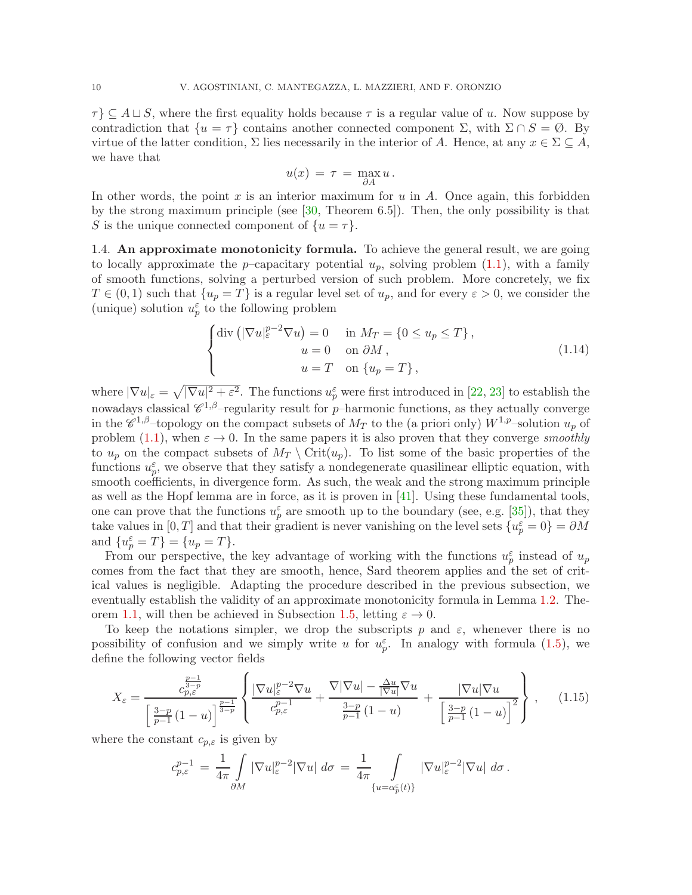$\tau$ }  $\subseteq$  A  $\sqcup$  S, where the first equality holds because  $\tau$  is a regular value of u. Now suppose by contradiction that  $\{u = \tau\}$  contains another connected component  $\Sigma$ , with  $\Sigma \cap S = \emptyset$ . By virtue of the latter condition,  $\Sigma$  lies necessarily in the interior of A. Hence, at any  $x \in \Sigma \subseteq A$ , we have that

<span id="page-9-1"></span>
$$
u(x) = \tau = \max_{\partial A} u.
$$

In other words, the point x is an interior maximum for  $u$  in  $A$ . Once again, this forbidden by the strong maximum principle (see [\[30,](#page-25-14) Theorem 6.5]). Then, the only possibility is that S is the unique connected component of  $\{u = \tau\}.$ 

<span id="page-9-0"></span>1.4. An approximate monotonicity formula. To achieve the general result, we are going to locally approximate the *p*–capacitary potential  $u_p$ , solving problem [\(1.1\)](#page-1-0), with a family of smooth functions, solving a perturbed version of such problem. More concretely, we fix  $T \in (0, 1)$  such that  $\{u_p = T\}$  is a regular level set of  $u_p$ , and for every  $\varepsilon > 0$ , we consider the (unique) solution  $u_p^{\varepsilon}$  to the following problem

$$
\begin{cases}\n\text{div}\left(|\nabla u|_{\varepsilon}^{p-2}\nabla u\right) = 0 & \text{in } M_T = \{0 \le u_p \le T\}, \\
u = 0 & \text{on } \partial M, \\
u = T & \text{on } \{u_p = T\},\n\end{cases}
$$
\n(1.14)

where  $|\nabla u|_{\varepsilon} = \sqrt{|\nabla u|^2 + \varepsilon^2}$ . The functions  $u_p^{\varepsilon}$  were first introduced in [\[22,](#page-25-15) [23\]](#page-25-16) to establish the nowadays classical  $\mathscr{C}^{1,\beta}$ -regularity result for p-harmonic functions, as they actually converge in the  $\mathscr{C}^{1,\beta}$ -topology on the compact subsets of  $M_T$  to the (a priori only)  $W^{1,p}$ -solution  $u_p$  of problem [\(1.1\)](#page-1-0), when  $\varepsilon \to 0$ . In the same papers it is also proven that they converge *smoothly* to  $u_p$  on the compact subsets of  $M_T \setminus \text{Crit}(u_p)$ . To list some of the basic properties of the functions  $u_p^{\varepsilon}$ , we observe that they satisfy a nondegenerate quasilinear elliptic equation, with smooth coefficients, in divergence form. As such, the weak and the strong maximum principle as well as the Hopf lemma are in force, as it is proven in [\[41\]](#page-25-19). Using these fundamental tools, one can prove that the functions  $u_p^{\varepsilon}$  are smooth up to the boundary (see, e.g. [\[35\]](#page-25-20)), that they take values in  $[0, T]$  and that their gradient is never vanishing on the level sets  $\{u_p^{\varepsilon} = 0\} = \partial M$ and  $\{u_p^{\varepsilon} = T\} = \{u_p = T\}.$ 

From our perspective, the key advantage of working with the functions  $u_p^{\varepsilon}$  instead of  $u_p$ comes from the fact that they are smooth, hence, Sard theorem applies and the set of critical values is negligible. Adapting the procedure described in the previous subsection, we eventually establish the validity of an approximate monotonicity formula in Lemma [1.2.](#page-10-0) The-orem [1.1,](#page-3-1) will then be achieved in Subsection [1.5,](#page-14-0) letting  $\varepsilon \to 0$ .

To keep the notations simpler, we drop the subscripts p and  $\varepsilon$ , whenever there is no possibility of confusion and we simply write u for  $u_p^{\varepsilon}$ . In analogy with formula [\(1.5\)](#page-2-5), we define the following vector fields

$$
X_{\varepsilon} = \frac{c_{p,\varepsilon}^{\frac{p-1}{3-p}}}{\left[\frac{3-p}{p-1}(1-u)\right]^{\frac{p-1}{3-p}}} \left\{ \frac{|\nabla u|_{\varepsilon}^{p-2} \nabla u}{c_{p,\varepsilon}^{p-1}} + \frac{\nabla |\nabla u| - \frac{\Delta u}{|\nabla u|} \nabla u}{\frac{3-p}{p-1}(1-u)} + \frac{|\nabla u| \nabla u}{\left[\frac{3-p}{p-1}(1-u)\right]^2} \right\},
$$
(1.15)

where the constant  $c_{p,\varepsilon}$  is given by

<span id="page-9-2"></span>
$$
c_{p,\varepsilon}^{p-1} \,=\, \frac{1}{4\pi} \int\limits_{\partial M} |\nabla u|_{\varepsilon}^{p-2} |\nabla u| \,\, d\sigma \,=\, \frac{1}{4\pi} \int\limits_{\{u=\alpha_p^\varepsilon(t)\}} |\nabla u|_{\varepsilon}^{p-2} |\nabla u| \,\, d\sigma \,.
$$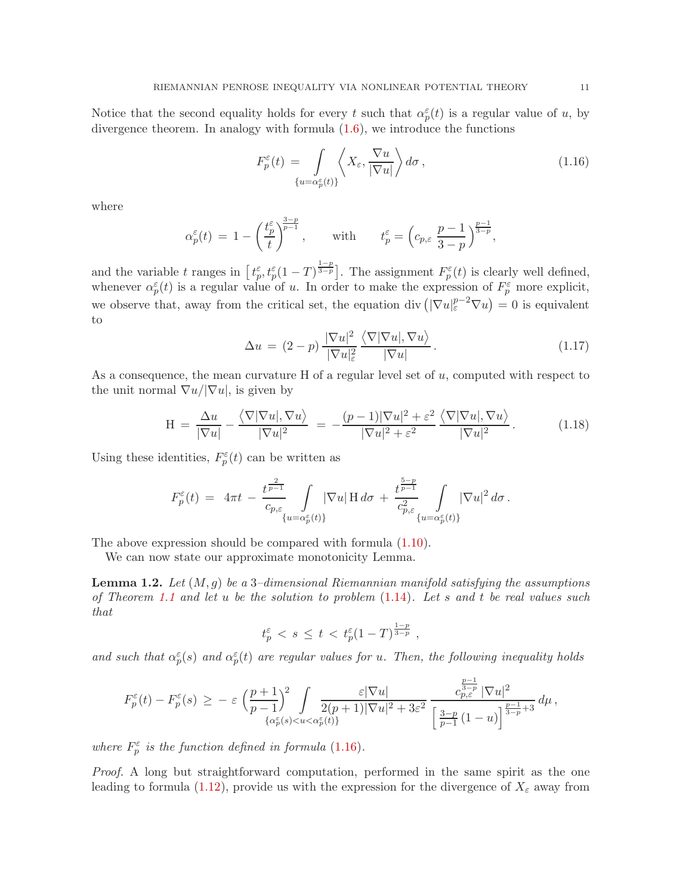Notice that the second equality holds for every t such that  $\alpha_p^{\varepsilon}(t)$  is a regular value of u, by divergence theorem. In analogy with formula [\(1.6\)](#page-2-2), we introduce the functions

<span id="page-10-1"></span>
$$
F_p^{\varepsilon}(t) = \int_{\{u = \alpha_p^{\varepsilon}(t)\}} \left\langle X_{\varepsilon}, \frac{\nabla u}{|\nabla u|} \right\rangle d\sigma, \qquad (1.16)
$$

where

$$
\alpha_p^\varepsilon(t)\,=\,1-\left(\frac{t_p^\varepsilon}{t}\right)^{\!\!\frac{3-p}{p-1}},\qquad\text{with}\qquad t_p^\varepsilon=\Big(c_{p,\varepsilon}\,\frac{p-1}{3-p}\Big)^{\!\!\frac{p-1}{3-p}},
$$

and the variable t ranges in  $\left[t_p^{\varepsilon}, t_p^{\varepsilon}(1-T)^{\frac{1-p}{3-p}}\right]$ . The assignment  $F_p^{\varepsilon}(t)$  is clearly well defined, whenever  $\alpha_p^{\varepsilon}(t)$  is a regular value of u. In order to make the expression of  $F_p^{\varepsilon}$  more explicit, we observe that, away from the critical set, the equation div  $\left( \nabla u \right)_{\varepsilon}^{p-2} \nabla u = 0$  is equivalent to

<span id="page-10-3"></span><span id="page-10-2"></span>
$$
\Delta u = (2 - p) \frac{|\nabla u|^2}{|\nabla u|_{\varepsilon}^2} \frac{\langle \nabla |\nabla u|, \nabla u \rangle}{|\nabla u|}.
$$
\n(1.17)

As a consequence, the mean curvature  $H$  of a regular level set of  $u$ , computed with respect to the unit normal  $\nabla u / |\nabla u|$ , is given by

$$
H = \frac{\Delta u}{|\nabla u|} - \frac{\langle \nabla |\nabla u|, \nabla u \rangle}{|\nabla u|^2} = -\frac{(p-1)|\nabla u|^2 + \varepsilon^2}{|\nabla u|^2 + \varepsilon^2} \frac{\langle \nabla |\nabla u|, \nabla u \rangle}{|\nabla u|^2}.
$$
 (1.18)

Using these identities,  $F_p^{\varepsilon}(t)$  can be written as

$$
F_p^{\varepsilon}(t) = 4\pi t - \frac{t^{\frac{2}{p-1}}}{c_{p,\varepsilon}} \int_{\{u=\alpha_p^{\varepsilon}(t)\}} |\nabla u| \operatorname{H} d\sigma + \frac{t^{\frac{5-p}{p-1}}}{c_{p,\varepsilon}^2} \int_{\{u=\alpha_p^{\varepsilon}(t)\}} |\nabla u|^2 d\sigma.
$$

The above expression should be compared with formula [\(1.10\)](#page-3-0).

We can now state our approximate monotonicity Lemma.

<span id="page-10-0"></span>Lemma 1.2. *Let* (M, g) *be a* 3*–dimensional Riemannian manifold satisfying the assumptions of Theorem [1.1](#page-3-1) and let* u *be the solution to problem* [\(1.14\)](#page-9-1)*. Let* s *and* t *be real values such that*

$$
t_p^{\varepsilon} \, < \, s \, \leq \, t \, < \, t_p^{\varepsilon} (1-T)^{\frac{1-p}{3-p}} \, ,
$$

and such that  $\alpha_p^{\varepsilon}(s)$  and  $\alpha_p^{\varepsilon}(t)$  are regular values for u. Then, the following inequality holds

$$
F_p^\varepsilon(t)-F_p^\varepsilon(s)\,\geq\,-\,\varepsilon\,\,\Big(\frac{p+1}{p-1}\Big)^{\!2}\int\limits_{\{\alpha_p^\varepsilon(s)< u<\alpha_p^\varepsilon(t)\}}\frac{\varepsilon|\nabla u|}{2(p+1)|\nabla u|^2+3\varepsilon^2}\,\frac{c_{p,\varepsilon}^{\frac{p-1}{2-p}}\,|\nabla u|^2}{\Big[\,\frac{3-p}{p-1}\,(1-u)\Big]^{\frac{p-1}{3-p}+3}}\,d\mu\,,
$$

*where*  $F_p^{\varepsilon}$  *is the function defined in formula* [\(1.16\)](#page-10-1)*.* 

*Proof.* A long but straightforward computation, performed in the same spirit as the one leading to formula [\(1.12\)](#page-4-1), provide us with the expression for the divergence of  $X_{\varepsilon}$  away from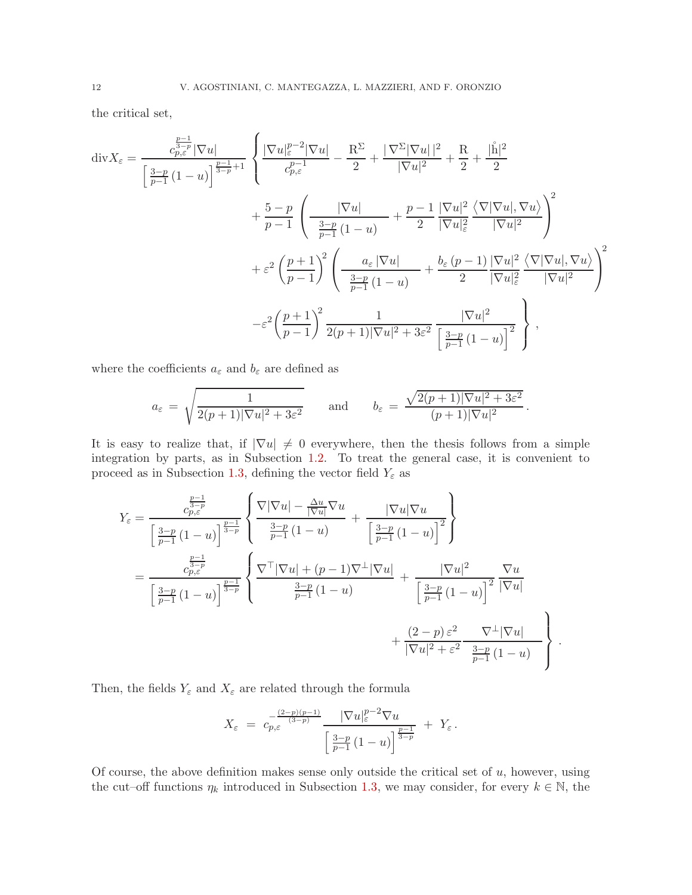the critical set,

$$
\operatorname{div} X_{\varepsilon} = \frac{c_{p,\varepsilon}^{\frac{p-1}{2-p}} |\nabla u|}{\left[\frac{3-p}{p-1} (1-u)\right]^{\frac{p-1}{3-p}+1}} \left\{ \frac{|\nabla u|_{\varepsilon}^{p-2} |\nabla u|}{c_{p,\varepsilon}^{p-1}} - \frac{R^{\Sigma}}{2} + \frac{|\nabla^{\Sigma} |\nabla u| |^2}{|\nabla u|^2} + \frac{R}{2} + \frac{|\mathring{\mathsf{h}}|^2}{2} + \frac{1}{2} + \frac{1}{2} + \frac{1}{2} + \frac{1}{2} + \frac{1}{2} + \frac{1}{2} + \frac{1}{2} + \frac{1}{2} + \frac{1}{2} + \frac{1}{2} + \frac{1}{2} + \frac{1}{2} + \frac{1}{2} + \frac{1}{2} + \frac{1}{2} + \frac{1}{2} + \frac{1}{2} + \frac{1}{2} + \frac{1}{2} + \frac{1}{2} + \frac{1}{2} + \frac{1}{2} + \frac{1}{2} + \frac{1}{2} + \frac{1}{2} + \frac{1}{2} + \frac{1}{2} + \frac{1}{2} + \frac{1}{2} + \frac{1}{2} + \frac{1}{2} + \frac{1}{2} + \frac{1}{2} + \frac{1}{2} + \frac{1}{2} + \frac{1}{2} + \frac{1}{2} + \frac{1}{2} + \frac{1}{2} + \frac{1}{2} + \frac{1}{2} + \frac{1}{2} + \frac{1}{2} + \frac{1}{2} + \frac{1}{2} + \frac{1}{2} + \frac{1}{2} + \frac{1}{2} + \frac{1}{2} + \frac{1}{2} + \frac{1}{2} + \frac{1}{2} + \frac{1}{2} + \frac{1}{2} + \frac{1}{2} + \frac{1}{2} + \frac{1}{2} + \frac{1}{2} + \frac{1}{2} + \frac{1}{2} + \frac{1}{2} + \frac{1}{2} + \frac{1}{2} + \frac{1}{2} + \frac{1}{2} + \frac{1}{2} + \frac{1}{2} + \frac{1}{2} + \frac{1}{2} + \frac{1}{2} + \frac{1}{2} + \frac{1}{
$$

where the coefficients  $a_\varepsilon$  and  $b_\varepsilon$  are defined as

$$
a_{\varepsilon} = \sqrt{\frac{1}{2(p+1)|\nabla u|^2 + 3\varepsilon^2}} \quad \text{and} \quad b_{\varepsilon} = \frac{\sqrt{2(p+1)|\nabla u|^2 + 3\varepsilon^2}}{(p+1)|\nabla u|^2}.
$$

It is easy to realize that, if  $|\nabla u| \neq 0$  everywhere, then the thesis follows from a simple integration by parts, as in Subsection [1.2.](#page-4-0) To treat the general case, it is convenient to proceed as in Subsection [1.3,](#page-5-0) defining the vector field  $Y_\varepsilon$  as

$$
Y_{\varepsilon} = \frac{c_{p,\varepsilon}^{\frac{p-1}{3-p}}}{\left[\frac{3-p}{p-1}(1-u)\right]^{\frac{p-1}{3-p}}} \left\{ \frac{\nabla |\nabla u| - \frac{\Delta u}{|\nabla u|} \nabla u}{\frac{3-p}{p-1}(1-u)} + \frac{|\nabla u| \nabla u}{\left[\frac{3-p}{p-1}(1-u)\right]^2} \right\}
$$
  
\n
$$
= \frac{c_{p,\varepsilon}^{\frac{p-1}{3-p}}}{\left[\frac{3-p}{p-1}(1-u)\right]^{\frac{p-1}{3-p}}} \left\{ \frac{\nabla^{\top} |\nabla u| + (p-1)\nabla^{\perp} |\nabla u|}{\frac{3-p}{p-1}(1-u)} + \frac{|\nabla u|^2}{\left[\frac{3-p}{p-1}(1-u)\right]^2} \frac{\nabla u}{|\nabla u|} + \frac{(2-p)\varepsilon^2}{|\nabla u|^2 + \varepsilon^2} \frac{\nabla^{\perp} |\nabla u|}{\frac{3-p}{p-1}(1-u)} \right\}.
$$

Then, the fields  $Y_{\varepsilon}$  and  $X_{\varepsilon}$  are related through the formula

$$
X_{\varepsilon} = c_{p,\varepsilon}^{-\frac{(2-p)(p-1)}{(3-p)}} \frac{|\nabla u|_{\varepsilon}^{p-2} \nabla u}{\left[\frac{3-p}{p-1}(1-u)\right]^{\frac{p-1}{3-p}}} + Y_{\varepsilon}.
$$

Of course, the above definition makes sense only outside the critical set of  $u$ , however, using the cut–off functions  $\eta_k$  introduced in Subsection [1.3,](#page-5-0) we may consider, for every  $k \in \mathbb{N}$ , the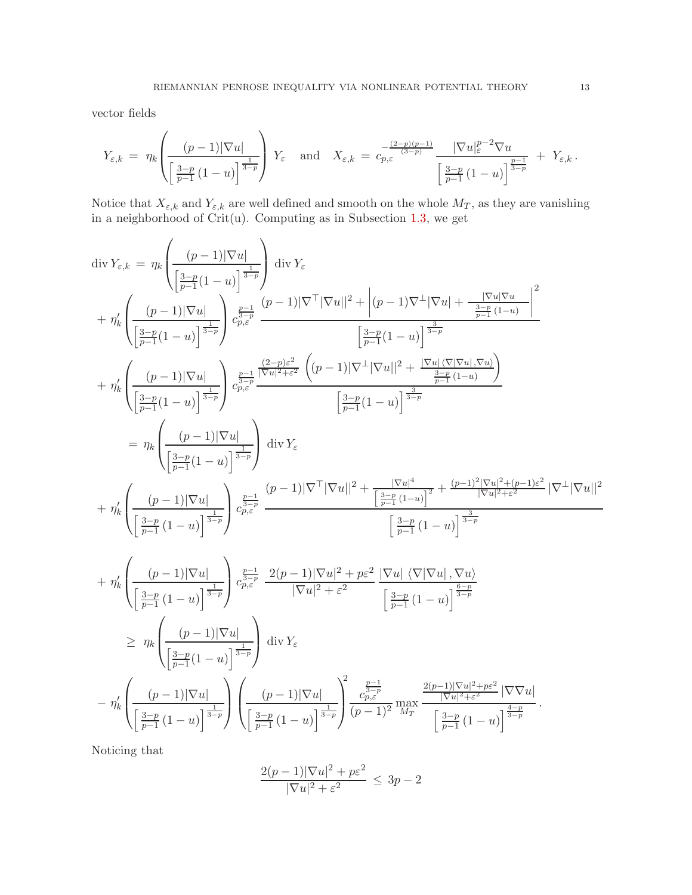vector fields

$$
Y_{\varepsilon,k} = \eta_k \left( \frac{(p-1)|\nabla u|}{\left[\frac{3-p}{p-1}(1-u)\right]^{\frac{1}{3-p}}}\right) Y_{\varepsilon} \quad \text{and} \quad X_{\varepsilon,k} = c_{p,\varepsilon}^{-\frac{(2-p)(p-1)}{(3-p)}} \frac{|\nabla u|_{\varepsilon}^{p-2} \nabla u}{\left[\frac{3-p}{p-1}(1-u)\right]^{\frac{p-1}{3-p}}} + Y_{\varepsilon,k}.
$$

Notice that  $X_{\varepsilon,k}$  and  $Y_{\varepsilon,k}$  are well defined and smooth on the whole  $M_T$ , as they are vanishing in a neighborhood of Crit(u). Computing as in Subsection [1.3,](#page-5-0) we get

$$
\begin{split} &\text{div}\,Y_{\varepsilon,k}\,=\,\eta_k\Bigg(\frac{(p-1)|\nabla u|}{\left[\frac{3-p}{p-1}(1-u)\right]^{\frac{1}{3-p}}}\Bigg)\,\text{div}\,Y_{\varepsilon} \\ &+\,\eta_k'\Bigg(\frac{(p-1)|\nabla u|}{\left[\frac{3-p}{p-1}(1-u)\right]^{\frac{1}{3-p}}}\Bigg)^{\frac{p-1}{p_0\overline{\varepsilon}^p}}\frac{(p-1)|\nabla^\top|\nabla u||^2+\Big| (p-1)\nabla^\perp|\nabla u|+\frac{|\nabla u|\nabla u|}{\frac{3-p}{p-1}(1-u)}\Bigg|^2}{\left[\frac{3-p}{p-1}(1-u)\right]^{\frac{3-p}{3-p}}}\Bigg(\frac{(2-p)\varepsilon^2}{p_0\overline{\varepsilon}^p}\frac{\Big((p-1)|\nabla^\perp|\nabla u||^2+\frac{|\nabla u|\nabla|\nabla u|,\nabla u\rangle}{\frac{3-p}{p-1}(1-u)}\Bigg)}{\left[\frac{3-p}{p-1}(1-u)\right]^{\frac{3-p}{3-p}}}\Bigg(\frac{(p-1)|\nabla u|}{\frac{3-p}{p-1}(1-u)}\Bigg)^{\frac{3-p}{3-p}}}\Bigg(\frac{(p-1)|\nabla u|}{\frac{3-p}{p-1}(1-u)}\Bigg)^{\frac{3-p}{3-p}}\Bigg(\frac{(p-1)|\nabla u|}{\frac{3-p}{p-1}(1-u)}\Bigg)^{\frac{3-p}{3-p}}}\Bigg(\frac{(p-1)|\nabla u|}{\frac{3-p}{p-1}(1-u)}\Bigg)^{\frac{3-p}{3-p}}\Bigg(\frac{(p-1)|\nabla u|}{\frac{3-p}{p-1}(1-u)}\Bigg)^{\frac{3-p}{3-p}}\Bigg(\frac{(p-1)|\nabla u|}{\frac{3-p}{p-1}(1-u)}\Bigg)^{\frac{3-p}{3-p}}\Bigg(\frac{(p-1)|\nabla u|}{\frac{3-p}{p-1}(1-u)}\Bigg)^{\frac{3-p}{3-p}}\Bigg(\frac{(p-1)|\nabla u|}{\frac{3-p}{p-1}(1-u)}\Bigg)^{\frac{3-p}{3-p}}\Bigg(\frac{(p-1)|\nabla u|}{\frac{3-p}{p-1}(1-u)}\Bigg)^{\frac{
$$

Noticing that

$$
\frac{2(p-1)|\nabla u|^2 + p\varepsilon^2}{|\nabla u|^2 + \varepsilon^2} \le 3p - 2
$$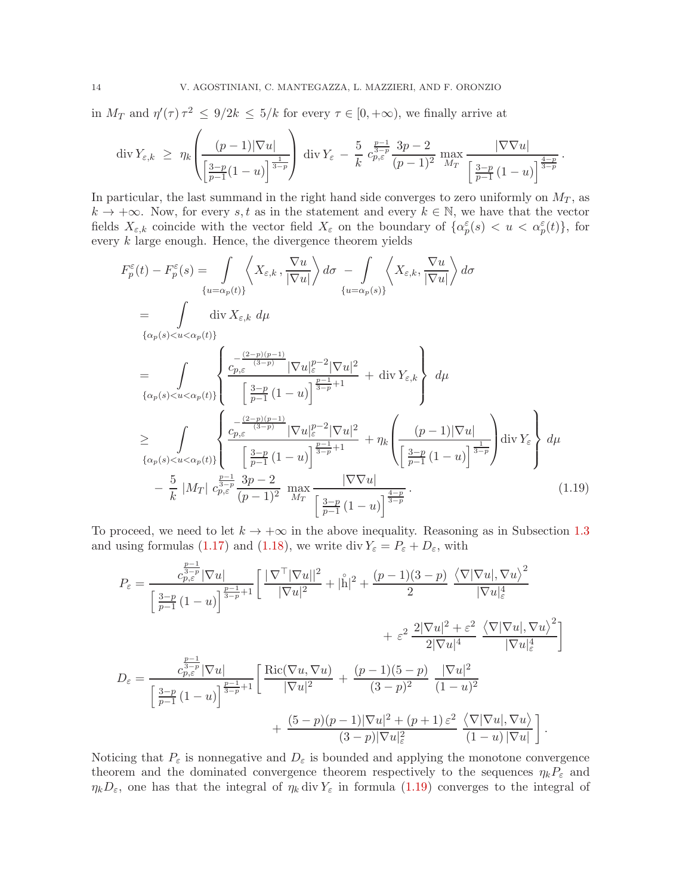in  $M_T$  and  $\eta'(\tau)\tau^2 \leq 9/2k \leq 5/k$  for every  $\tau \in [0, +\infty)$ , we finally arrive at

$$
\operatorname{div} Y_{\varepsilon,k} \ \geq \ \eta_k \left( \frac{(p-1)|\nabla u|}{\left[\frac{3-p}{p-1}(1-u)\right]^{\frac{1}{3-p}}}\right) \operatorname{div} Y_{\varepsilon} \ - \ \frac{5}{k} \ c_{p,\varepsilon}^{\frac{p-1}{3-p}} \frac{3p-2}{(p-1)^2} \ \max_{M_T} \frac{|\nabla \nabla u|}{\left[\frac{3-p}{p-1}(1-u)\right]^{\frac{4-p}{3-p}}}.
$$

In particular, the last summand in the right hand side converges to zero uniformly on  $M_T$ , as  $k \to +\infty$ . Now, for every s, t as in the statement and every  $k \in \mathbb{N}$ , we have that the vector fields  $X_{\varepsilon,k}$  coincide with the vector field  $X_{\varepsilon}$  on the boundary of  $\{\alpha_p^{\varepsilon}(s) \, \langle u \, \langle \, \alpha_p^{\varepsilon}(t) \rangle\}$ , for every  $k$  large enough. Hence, the divergence theorem yields

$$
F_p^{\varepsilon}(t) - F_p^{\varepsilon}(s) = \int_{\{u = \alpha_p(t)\}} \left\langle X_{\varepsilon,k}, \frac{\nabla u}{|\nabla u|} \right\rangle d\sigma - \int_{\{u = \alpha_p(s)\}} \left\langle X_{\varepsilon,k}, \frac{\nabla u}{|\nabla u|} \right\rangle d\sigma
$$
  
\n
$$
= \int_{\{\alpha_p(s) < u < \alpha_p(t)\}} \operatorname{div} X_{\varepsilon,k} d\mu
$$
  
\n
$$
= \int_{\{\alpha_p(s) < u < \alpha_p(t)\}} \left\{ \frac{c_{p,\varepsilon} \xrightarrow{(3-p)} |\nabla u|_{\varepsilon}^{p-2} |\nabla u|^{2}}{\left[\frac{3-p}{p-1} (1-u)\right]^{\frac{p-1}{3-p}+1}} + \operatorname{div} Y_{\varepsilon,k} \right\} d\mu
$$
  
\n
$$
\geq \int_{\{\alpha_p(s) < u < \alpha_p(t)\}} \left\{ \frac{c_{p,\varepsilon} \xrightarrow{(3-p)} |\nabla u|_{\varepsilon}^{p-2} |\nabla u|^{2}}{\left[\frac{3-p}{p-1} (1-u)\right]^{\frac{p-1}{3-p}+1}} + \eta_k \left(\frac{(p-1)|\nabla u|}{\left[\frac{3-p}{p-1} (1-u)\right]^{\frac{1}{3-p}}}\right) \operatorname{div} Y_{\varepsilon} \right\} d\mu
$$
  
\n
$$
- \frac{5}{k} |M_T| c_{p,\varepsilon}^{\frac{p-1}{3-p}} \frac{3p-2}{(p-1)^2} \max_{M_T} \frac{|\nabla \nabla u|}{\left[\frac{3-p}{p-1} (1-u)\right]^{\frac{4-p}{3-p}}}. \tag{1.19}
$$

To proceed, we need to let  $k \to +\infty$  in the above inequality. Reasoning as in Subsection [1.3](#page-5-0) and using formulas [\(1.17\)](#page-10-2) and [\(1.18\)](#page-10-3), we write div  $Y_{\varepsilon} = P_{\varepsilon} + D_{\varepsilon}$ , with

<span id="page-13-0"></span>
$$
P_{\varepsilon} = \frac{c_{p,\varepsilon}^{\frac{p-1}{3-p}} |\nabla u|}{\left[\frac{3-p}{p-1} (1-u)\right]^{\frac{p-1}{3-p}+1}} \left[\frac{|\nabla^{\top} |\nabla u|^{2}}{|\nabla u|^{2}} + |\overset{\circ}{\mathbf{h}}|^{2} + \frac{(p-1)(3-p)}{2} \frac{\langle \nabla |\nabla u|, \nabla u \rangle^{2}}{|\nabla u|_{\varepsilon}^{4}} + \varepsilon^{2} \frac{2|\nabla u|^{2} + \varepsilon^{2}}{2|\nabla u|^{4}} \frac{\langle \nabla |\nabla u|, \nabla u \rangle^{2}}{|\nabla u|_{\varepsilon}^{4}}\right]
$$
  

$$
D_{\varepsilon} = \frac{c_{p,\varepsilon}^{\frac{p-1}{3-p}} |\nabla u|}{\left[\frac{3-p}{p-1} (1-u)\right]^{\frac{p-1}{3-p}+1}} \left[\frac{\text{Ric}(\nabla u, \nabla u)}{|\nabla u|^{2}} + \frac{(p-1)(5-p)}{(3-p)^{2}} \frac{|\nabla u|^{2}}{(1-u)^{2}} + \frac{(5-p)(p-1)|\nabla u|^{2} + (p+1)\varepsilon^{2}}{(3-p)|\nabla u|_{\varepsilon}^{2}} \frac{\langle \nabla |\nabla u|, \nabla u \rangle}{(1-u)|\nabla u|} \right].
$$

Noticing that  $P_{\varepsilon}$  is nonnegative and  $D_{\varepsilon}$  is bounded and applying the monotone convergence theorem and the dominated convergence theorem respectively to the sequences  $\eta_k P_\varepsilon$  and  $\eta_k D_\varepsilon$ , one has that the integral of  $\eta_k$  div  $Y_\varepsilon$  in formula [\(1.19\)](#page-13-0) converges to the integral of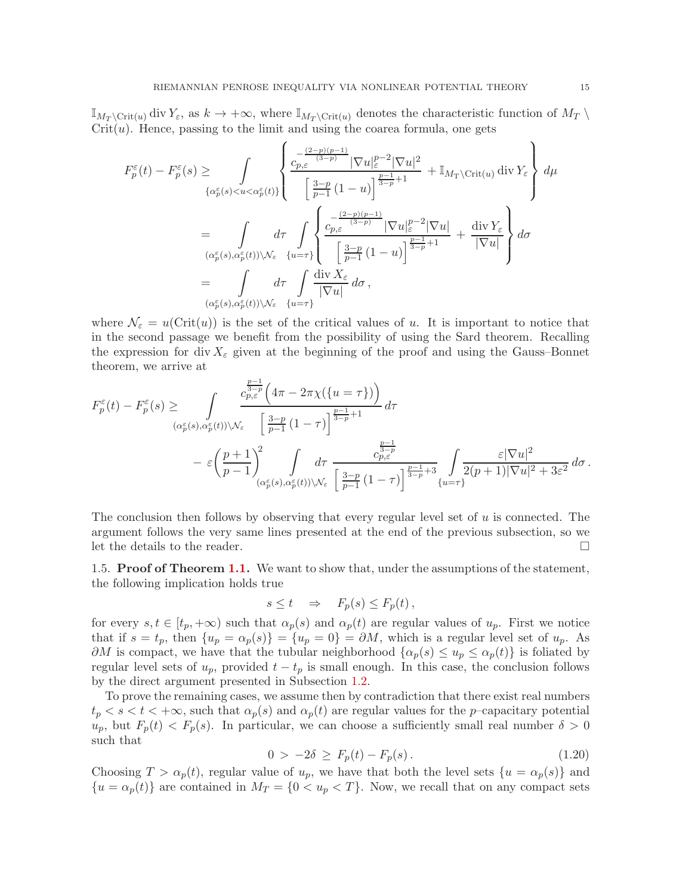$\mathbb{I}_{M_T \setminus \text{Crit}(u)}$  div  $Y_\varepsilon$ , as  $k \to +\infty$ , where  $\mathbb{I}_{M_T \setminus \text{Crit}(u)}$  denotes the characteristic function of  $M_T \setminus$  $Crit(u)$ . Hence, passing to the limit and using the coarea formula, one gets

$$
F_p^{\varepsilon}(t) - F_p^{\varepsilon}(s) \ge \int_{\{\alpha_p^{\varepsilon}(s) < u < \alpha_p^{\varepsilon}(t)\}} \left\{ \frac{c_{p,\varepsilon}^{\frac{(2-p)(p-1)}{(3-p)}} |\nabla u|_{\varepsilon}^{p-2} |\nabla u|^2}{\left[\frac{3-p}{p-1} (1-u)\right]^{\frac{p-1}{3-p}+1}} + \mathbb{I}_{M_{\text{T}} \setminus \text{Crit}(u)} \operatorname{div} Y_{\varepsilon} \right\} d\mu
$$
\n
$$
= \int_{(\alpha_p^{\varepsilon}(s), \alpha_p^{\varepsilon}(t)) \setminus \mathcal{N}_{\varepsilon}} d\tau \int_{\{\omega = \tau\}} \left\{ \frac{c_{p,\varepsilon}^{\frac{(2-p)(p-1)}{(3-p)}} |\nabla u|_{\varepsilon}^{p-2} |\nabla u|}{\left[\frac{3-p}{p-1} (1-u)\right]^{\frac{p-1}{3-p}+1}} + \frac{\operatorname{div} Y_{\varepsilon}}{|\nabla u|} \right\} d\sigma
$$
\n
$$
= \int_{(\alpha_p^{\varepsilon}(s), \alpha_p^{\varepsilon}(t)) \setminus \mathcal{N}_{\varepsilon}} d\tau \int_{\{\omega = \tau\}} \frac{d\mathrm{iv} \, X_{\varepsilon}}{|\nabla u|} d\sigma,
$$

where  $\mathcal{N}_{\varepsilon} = u(\text{Crit}(u))$  is the set of the critical values of u. It is important to notice that in the second passage we benefit from the possibility of using the Sard theorem. Recalling the expression for div  $X_{\varepsilon}$  given at the beginning of the proof and using the Gauss–Bonnet theorem, we arrive at

$$
F_p^{\varepsilon}(t) - F_p^{\varepsilon}(s) \ge \int_{(\alpha_p^{\varepsilon}(s), \alpha_p^{\varepsilon}(t)) \setminus \mathcal{N}_{\varepsilon}} \frac{c_{p, \varepsilon}^{\frac{p-1}{2-p}} \Big(4\pi - 2\pi\chi(\{u = \tau\})\Big)}{(\alpha_p^{\varepsilon}(s), \alpha_p^{\varepsilon}(t)) \setminus \mathcal{N}_{\varepsilon}} \left[\frac{3-p}{p-1} (1-\tau)\right]^{\frac{p-1}{3-p}+1} d\tau - \varepsilon \left(\frac{p+1}{p-1}\right)^2_{(\alpha_p^{\varepsilon}(s), \alpha_p^{\varepsilon}(t)) \setminus \mathcal{N}_{\varepsilon}} \frac{1}{\left[\frac{3-p}{p-1} (1-\tau)\right]^{\frac{p-1}{3-p}+3}} \int_{\{u = \tau\}} \frac{\varepsilon |\nabla u|^2}{2(p+1) |\nabla u|^2 + 3\varepsilon^2} d\sigma.
$$

The conclusion then follows by observing that every regular level set of u is connected. The argument follows the very same lines presented at the end of the previous subsection, so we let the details to the reader.  $\Box$ 

<span id="page-14-0"></span>1.5. **Proof of Theorem [1.1.](#page-3-1)** We want to show that, under the assumptions of the statement, the following implication holds true

$$
s \le t \quad \Rightarrow \quad F_p(s) \le F_p(t) \,,
$$

for every  $s, t \in [t_p, +\infty)$  such that  $\alpha_p(s)$  and  $\alpha_p(t)$  are regular values of  $u_p$ . First we notice that if  $s = t_p$ , then  $\{u_p = \alpha_p(s)\} = \{u_p = 0\} = \partial M$ , which is a regular level set of  $u_p$ . As  $\partial M$  is compact, we have that the tubular neighborhood  $\{\alpha_p(s) \leq u_p \leq \alpha_p(t)\}\$ is foliated by regular level sets of  $u_p$ , provided  $t - t_p$  is small enough. In this case, the conclusion follows by the direct argument presented in Subsection [1.2.](#page-4-0)

To prove the remaining cases, we assume then by contradiction that there exist real numbers  $t_p < s < t < +\infty$ , such that  $\alpha_p(s)$  and  $\alpha_p(t)$  are regular values for the *p*-capacitary potential  $u_p$ , but  $F_p(t) < F_p(s)$ . In particular, we can choose a sufficiently small real number  $\delta > 0$ such that

<span id="page-14-1"></span>
$$
0 > -2\delta \ge F_p(t) - F_p(s). \tag{1.20}
$$

Choosing  $T > \alpha_p(t)$ , regular value of  $u_p$ , we have that both the level sets  $\{u = \alpha_p(s)\}\$  and  ${u = \alpha_p(t)}$  are contained in  $M_T = {0 < u_p < T}$ . Now, we recall that on any compact sets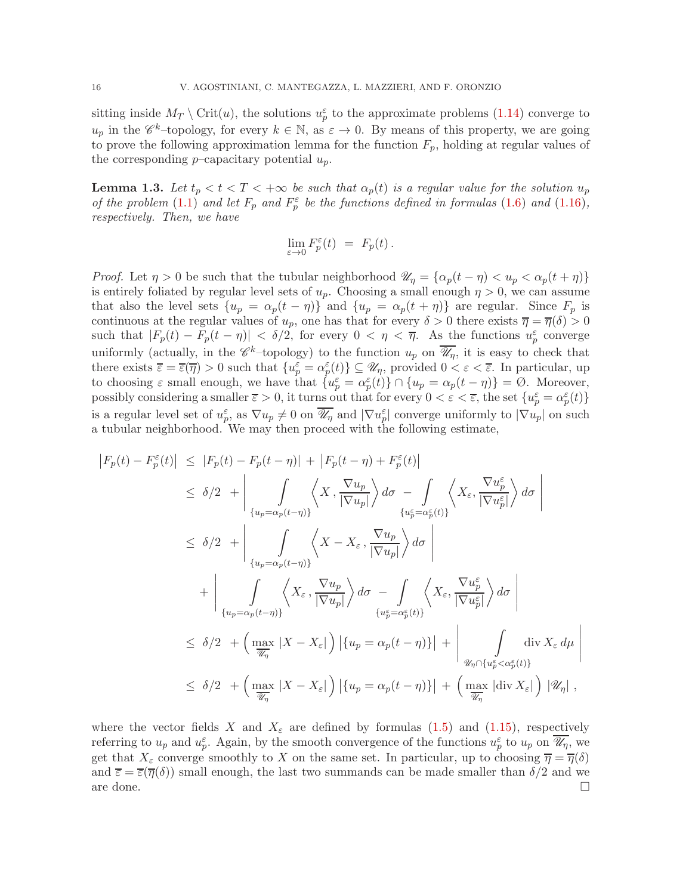sitting inside  $M_T \setminus \text{Crit}(u)$ , the solutions  $u_p^{\varepsilon}$  to the approximate problems [\(1.14\)](#page-9-1) converge to  $u_p$  in the  $\mathscr{C}^k$ -topology, for every  $k \in \mathbb{N}$ , as  $\varepsilon \to 0$ . By means of this property, we are going to prove the following approximation lemma for the function  $F_p$ , holding at regular values of the corresponding  $p$ –capacitary potential  $u_p$ .

<span id="page-15-0"></span>**Lemma 1.3.** Let  $t_p < t < T < +\infty$  be such that  $\alpha_p(t)$  is a regular value for the solution  $u_p$ *of the problem*  $(1.1)$  *and let*  $F_p$  *and*  $F_p^{\varepsilon}$  *be the functions defined in formulas*  $(1.6)$  *and*  $(1.16)$ *, respectively. Then, we have*

$$
\lim_{\varepsilon\to 0}F_p^\varepsilon(t)\ =\ F_p(t)\,.
$$

*Proof.* Let  $\eta > 0$  be such that the tubular neighborhood  $\mathscr{U}_{\eta} = {\alpha_p(t - \eta) < u_p < \alpha_p(t + \eta)}$ is entirely foliated by regular level sets of  $u_p$ . Choosing a small enough  $\eta > 0$ , we can assume that also the level sets  $\{u_p = \alpha_p(t - \eta)\}\$  and  $\{u_p = \alpha_p(t + \eta)\}\$  are regular. Since  $F_p$  is continuous at the regular values of  $u_p$ , one has that for every  $\delta > 0$  there exists  $\overline{\eta} = \overline{\eta}(\delta) > 0$ such that  $|F_p(t) - F_p(t - \eta)| < \delta/2$ , for every  $0 < \eta < \overline{\eta}$ . As the functions  $u_p^{\varepsilon}$  converge uniformly (actually, in the  $\mathscr{C}^k$ -topology) to the function  $u_p$  on  $\overline{\mathscr{U}_\eta}$ , it is easy to check that there exists  $\overline{\varepsilon} = \overline{\varepsilon}(\overline{\eta}) > 0$  such that  $\{u_p^{\varepsilon} = \alpha_p^{\varepsilon}(t)\} \subseteq \mathscr{U}_{\eta}$ , provided  $0 < \varepsilon < \overline{\varepsilon}$ . In particular, up to choosing  $\varepsilon$  small enough, we have that  $\{u_p^{\varepsilon} = \alpha_p^{\varepsilon}(t)\} \cap \{u_p = \alpha_p(t - \eta)\} = \emptyset$ . Moreover, possibly considering a smaller  $\overline{\varepsilon} > 0$ , it turns out that for every  $0 < \varepsilon < \overline{\varepsilon}$ , the set  $\{u_p^{\varepsilon} = \alpha_p^{\varepsilon}(t)\}$ is a regular level set of  $u_p^{\varepsilon}$ , as  $\nabla u_p \neq 0$  on  $\overline{\mathscr{U}_\eta}$  and  $|\nabla u_p^{\varepsilon}|$  converge uniformly to  $|\nabla u_p|$  on such a tubular neighborhood. We may then proceed with the following estimate,

$$
\begin{split}\n\left|F_p(t) - F_p^{\varepsilon}(t)\right| &\leq \left|F_p(t) - F_p(t-\eta)\right| + \left|F_p(t-\eta) + F_p^{\varepsilon}(t)\right| \\
&\leq \delta/2 + \left| \int_{\{u_p = \alpha_p(t-\eta)\}} \left\langle X, \frac{\nabla u_p}{|\nabla u_p|} \right\rangle d\sigma - \int_{\{u_p^{\varepsilon} = \alpha_p^{\varepsilon}(t)\}} \left\langle X_{\varepsilon}, \frac{\nabla u_p^{\varepsilon}}{|\nabla u_p^{\varepsilon}|} \right\rangle d\sigma \right| \\
&\leq \delta/2 + \left| \int_{\{u_p = \alpha_p(t-\eta)\}} \left\langle X - X_{\varepsilon}, \frac{\nabla u_p}{|\nabla u_p|} \right\rangle d\sigma \right| \\
&\quad + \left| \int_{\{u_p = \alpha_p(t-\eta)\}} \left\langle X_{\varepsilon}, \frac{\nabla u_p}{|\nabla u_p|} \right\rangle d\sigma - \int_{\{u_p^{\varepsilon} = \alpha_p^{\varepsilon}(t)\}} \left\langle X_{\varepsilon}, \frac{\nabla u_p^{\varepsilon}}{|\nabla u_p^{\varepsilon}|} \right\rangle d\sigma \right| \\
&\leq \delta/2 + \left( \max_{\overline{u}_n} |X - X_{\varepsilon}| \right) \left| \{u_p = \alpha_p(t-\eta)\} \right| + \left| \int_{\mathscr{U}_\eta \cap \{u_p^{\varepsilon} < \alpha_p^{\varepsilon}(t)\}} \operatorname{div} X_{\varepsilon} d\mu \right| \\
&\leq \delta/2 + \left( \max_{\overline{u}_n} |X - X_{\varepsilon}| \right) \left| \{u_p = \alpha_p(t-\eta)\} \right| + \left( \max_{\overline{u}_n} |\operatorname{div} X_{\varepsilon}| \right) |\mathscr{U}_\eta| \, ,\n\end{split}
$$

where the vector fields X and  $X_{\varepsilon}$  are defined by formulas [\(1.5\)](#page-2-5) and [\(1.15\)](#page-9-2), respectively referring to  $u_p$  and  $u_p^{\varepsilon}$ . Again, by the smooth convergence of the functions  $u_p^{\varepsilon}$  to  $u_p$  on  $\overline{\mathscr{U}_\eta}$ , we get that  $X_{\varepsilon}$  converge smoothly to X on the same set. In particular, up to choosing  $\overline{\eta} = \overline{\eta}(\delta)$ and  $\overline{\varepsilon} = \overline{\varepsilon}(\overline{\eta}(\delta))$  small enough, the last two summands can be made smaller than  $\delta/2$  and we are done.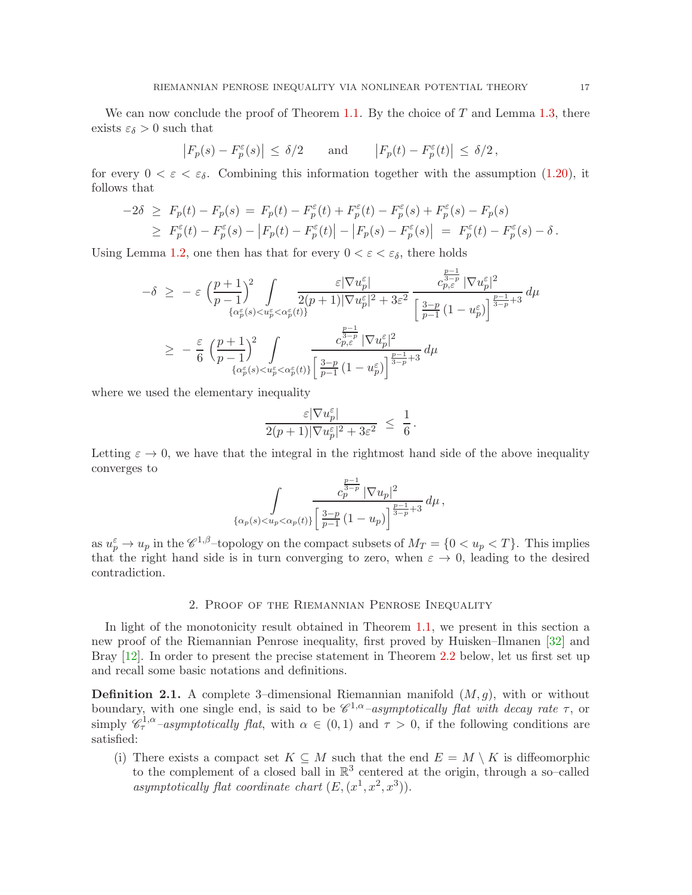We can now conclude the proof of Theorem [1.1.](#page-3-1) By the choice of  $T$  and Lemma [1.3,](#page-15-0) there exists  $\varepsilon_{\delta} > 0$  such that

$$
|F_p(s) - F_p^{\varepsilon}(s)| \le \delta/2
$$
 and  $|F_p(t) - F_p^{\varepsilon}(t)| \le \delta/2$ ,

for every  $0 < \varepsilon < \varepsilon_{\delta}$ . Combining this information together with the assumption [\(1.20\)](#page-14-1), it follows that

$$
-2\delta \ge F_p(t) - F_p(s) = F_p(t) - F_p^{\varepsilon}(t) + F_p^{\varepsilon}(t) - F_p^{\varepsilon}(s) + F_p^{\varepsilon}(s) - F_p(s)
$$
  
 
$$
\ge F_p^{\varepsilon}(t) - F_p^{\varepsilon}(s) - |F_p(t) - F_p^{\varepsilon}(t)| - |F_p(s) - F_p^{\varepsilon}(s)| = F_p^{\varepsilon}(t) - F_p^{\varepsilon}(s) - \delta.
$$

Using Lemma [1.2,](#page-10-0) one then has that for every  $0 < \varepsilon < \varepsilon_{\delta}$ , there holds

$$
\begin{array}{lcl} -\delta & \geq & -\varepsilon\,\,\Big(\frac{p+1}{p-1}\Big)^2\int\limits_{\{\alpha_p^\varepsilon(s)< u_p^\varepsilon< \alpha_p^\varepsilon(t)\}} \frac{\varepsilon|\nabla u_p^\varepsilon|}{2(p+1)|\nabla u_p^\varepsilon|^2+3\varepsilon^2}\,\frac{c_{p,\varepsilon}^\frac{p-1}{2}|\nabla u_p^\varepsilon|^2}{\Big[\frac{3-p}{p-1}\,(1-u_p^\varepsilon)\Big]^{\frac{p-1}{3-p}+3}}\,d\mu \\ \\ & \geq & -\frac{\varepsilon}{6}\,\,\Big(\frac{p+1}{p-1}\Big)^2\int\limits_{\{\alpha_p^\varepsilon(s)< u_p^\varepsilon< \alpha_p^\varepsilon(t)\}} \frac{c_{p,\varepsilon}^\frac{p-1}{3-p}|\nabla u_p^\varepsilon|^2}{\Big[\frac{3-p}{p-1}\,(1-u_p^\varepsilon)\Big]^{\frac{p-1}{3-p}+3}}\,d\mu \end{array}
$$

where we used the elementary inequality

$$
\frac{\varepsilon |\nabla u_p^\varepsilon|}{2(p+1)|\nabla u_p^\varepsilon|^2+3\varepsilon^2} ~\leq ~ \frac{1}{6}{\,}.
$$

Letting  $\varepsilon \to 0$ , we have that the integral in the rightmost hand side of the above inequality converges to

$$
\int\limits_{\{\alpha_p(s) < u_p < \alpha_p(t)\}} \frac{c_p^{\frac{p-1}{3-p}}\,|\nabla u_p|^2}{\left[\frac{3-p}{p-1}\,(1-u_p)\right]^{\frac{p-1}{3-p}+3}}\,d\mu\,,
$$

as  $u_p^{\varepsilon} \to u_p$  in the  $\mathscr{C}^{1,\beta}$ -topology on the compact subsets of  $M_T = \{0 < u_p < T\}$ . This implies that the right hand side is in turn converging to zero, when  $\varepsilon \to 0$ , leading to the desired contradiction.

## 2. Proof of the Riemannian Penrose Inequality

<span id="page-16-0"></span>In light of the monotonicity result obtained in Theorem [1.1,](#page-3-1) we present in this section a new proof of the Riemannian Penrose inequality, first proved by Huisken–Ilmanen [\[32\]](#page-25-2) and Bray [\[12\]](#page-24-11). In order to present the precise statement in Theorem [2.2](#page-17-0) below, let us first set up and recall some basic notations and definitions.

<span id="page-16-1"></span>**Definition 2.1.** A complete 3-dimensional Riemannian manifold  $(M, g)$ , with or without boundary, with one single end, is said to be  $\mathscr{C}^{1,\alpha}$ -asymptotically flat with decay rate  $\tau$ , or simply  $\mathscr{C}_{\tau}^{1,\alpha}$ -asymptotically flat, with  $\alpha \in (0,1)$  and  $\tau > 0$ , if the following conditions are satisfied:

(i) There exists a compact set  $K \subseteq M$  such that the end  $E = M \setminus K$  is diffeomorphic to the complement of a closed ball in  $\mathbb{R}^3$  centered at the origin, through a so-called asymptotically flat coordinate chart  $(E, (x^1, x^2, x^3))$ .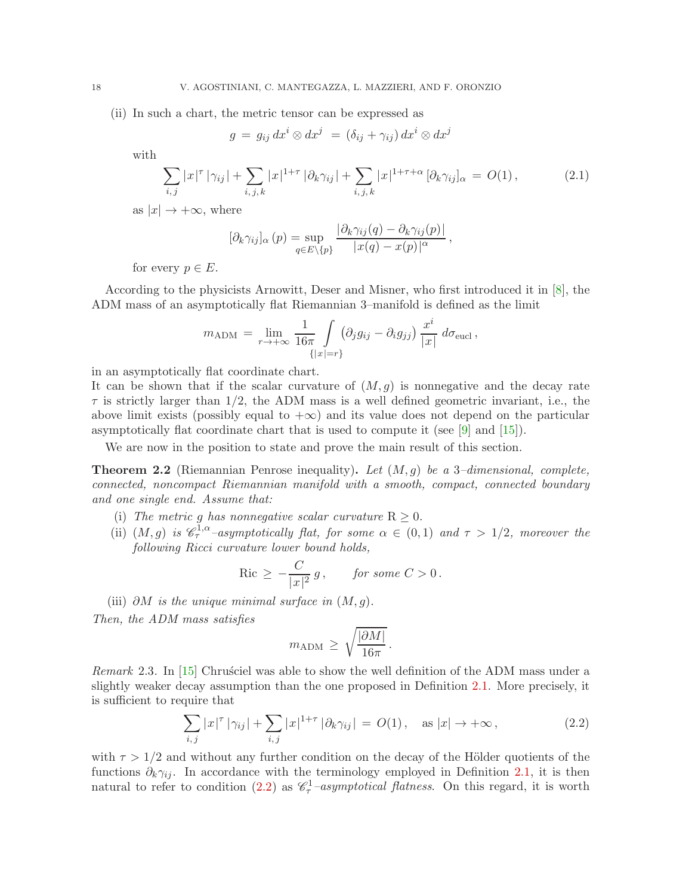(ii) In such a chart, the metric tensor can be expressed as

<span id="page-17-2"></span>
$$
g = g_{ij} dx^{i} \otimes dx^{j} = (\delta_{ij} + \gamma_{ij}) dx^{i} \otimes dx^{j}
$$

with

$$
\sum_{i,j} |x|^{\tau} |\gamma_{ij}| + \sum_{i,j,k} |x|^{1+\tau} |\partial_k \gamma_{ij}| + \sum_{i,j,k} |x|^{1+\tau+\alpha} [\partial_k \gamma_{ij}]_{\alpha} = O(1), \qquad (2.1)
$$

as  $|x| \to +\infty$ , where

$$
[\partial_k \gamma_{ij}]_{\alpha}(p) = \sup_{q \in E \setminus \{p\}} \frac{|\partial_k \gamma_{ij}(q) - \partial_k \gamma_{ij}(p)|}{|x(q) - x(p)|^{\alpha}},
$$

for every  $p \in E$ .

According to the physicists Arnowitt, Deser and Misner, who first introduced it in [\[8\]](#page-24-12), the ADM mass of an asymptotically flat Riemannian 3–manifold is defined as the limit

$$
m_{\text{ADM}} = \lim_{r \to +\infty} \frac{1}{16\pi} \int_{\{|x|=r\}} (\partial_j g_{ij} - \partial_i g_{jj}) \frac{x^i}{|x|} d\sigma_{\text{eucl}} ,
$$

in an asymptotically flat coordinate chart.

It can be shown that if the scalar curvature of  $(M, g)$  is nonnegative and the decay rate  $\tau$  is strictly larger than 1/2, the ADM mass is a well defined geometric invariant, i.e., the above limit exists (possibly equal to  $+\infty$ ) and its value does not depend on the particular asymptotically flat coordinate chart that is used to compute it (see  $[9]$  and  $[15]$ ).

We are now in the position to state and prove the main result of this section.

<span id="page-17-0"></span>Theorem 2.2 (Riemannian Penrose inequality). *Let* (M, g) *be a* 3*–dimensional, complete, connected, noncompact Riemannian manifold with a smooth, compact, connected boundary and one single end. Assume that:*

- (i) The metric g has nonnegative scalar curvature  $R \geq 0$ .
- (ii)  $(M, g)$  *is*  $\mathscr{C}_\tau^{1,\alpha}$  –asymptotically flat, for some  $\alpha \in (0,1)$  and  $\tau > 1/2$ , moreover the *following Ricci curvature lower bound holds,*

$$
\operatorname{Ric} \ge -\frac{C}{|x|^2} g, \qquad \text{for some } C > 0.
$$

(iii) ∂M *is the unique minimal surface in* (M, g)*.*

*Then, the ADM mass satisfies*

<span id="page-17-1"></span>
$$
m_{\text{ADM}} \geq \sqrt{\frac{|\partial M|}{16\pi}}.
$$

*Remark* 2.3. In [\[15\]](#page-24-14) Chrusciel was able to show the well definition of the ADM mass under a slightly weaker decay assumption than the one proposed in Definition [2.1.](#page-16-1) More precisely, it is sufficient to require that

$$
\sum_{i,j} |x|^{\tau} |\gamma_{ij}| + \sum_{i,j} |x|^{1+\tau} |\partial_k \gamma_{ij}| = O(1), \quad \text{as } |x| \to +\infty,
$$
 (2.2)

with  $\tau > 1/2$  and without any further condition on the decay of the Hölder quotients of the functions  $\partial_k \gamma_{ij}$ . In accordance with the terminology employed in Definition [2.1,](#page-16-1) it is then natural to refer to condition [\(2.2\)](#page-17-1) as  $\mathcal{C}_\tau^{-}$ -asymptotical flatness. On this regard, it is worth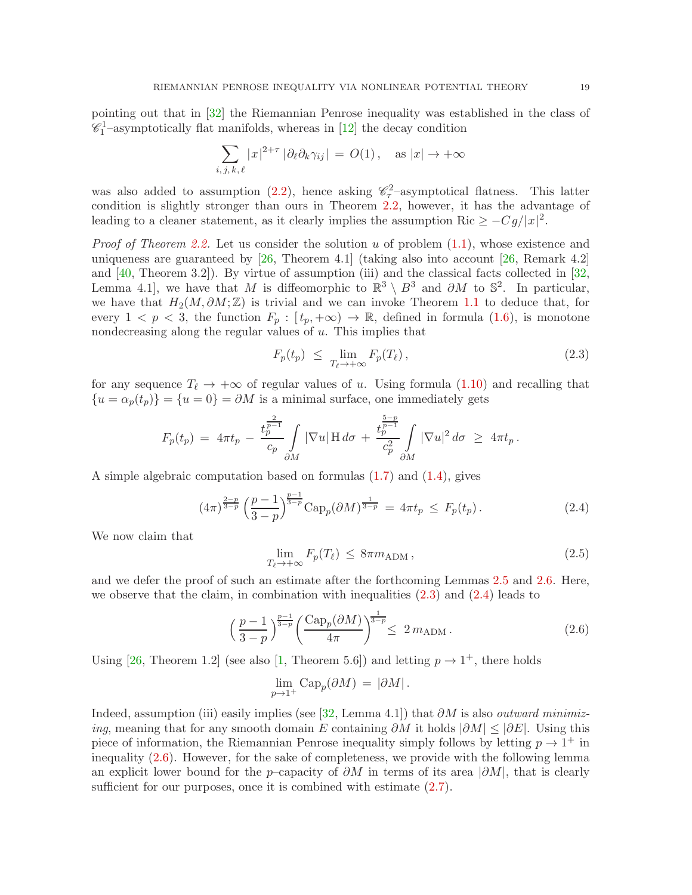pointing out that in [\[32\]](#page-25-2) the Riemannian Penrose inequality was established in the class of  $\mathscr{C}_1$ <sup>1</sup>-asymptotically flat manifolds, whereas in [\[12\]](#page-24-11) the decay condition

$$
\sum_{i,j,k,\ell} |x|^{2+\tau} |\partial_{\ell} \partial_k \gamma_{ij}| = O(1), \quad \text{as } |x| \to +\infty
$$

was also added to assumption [\(2.2\)](#page-17-1), hence asking  $\mathscr{C}_\tau^2$ -asymptotical flatness. This latter condition is slightly stronger than ours in Theorem [2.2,](#page-17-0) however, it has the advantage of leading to a cleaner statement, as it clearly implies the assumption Ric  $\geq -Cg/|x|^2$ .

*Proof of Theorem [2.2.](#page-17-0)* Let us consider the solution u of problem  $(1.1)$ , whose existence and uniqueness are guaranteed by [\[26,](#page-25-21) Theorem 4.1] (taking also into account [\[26,](#page-25-21) Remark 4.2] and [\[40,](#page-25-22) Theorem 3.2]). By virtue of assumption (iii) and the classical facts collected in [\[32,](#page-25-2) Lemma 4.1], we have that M is diffeomorphic to  $\mathbb{R}^3 \setminus B^3$  and  $\partial M$  to  $\mathbb{S}^2$ . In particular, we have that  $H_2(M, \partial M; \mathbb{Z})$  is trivial and we can invoke Theorem [1.1](#page-3-1) to deduce that, for every  $1 < p < 3$ , the function  $F_p : [t_p, +\infty) \to \mathbb{R}$ , defined in formula [\(1.6\)](#page-2-2), is monotone nondecreasing along the regular values of  $u$ . This implies that

<span id="page-18-0"></span>
$$
F_p(t_p) \leq \lim_{T_\ell \to +\infty} F_p(T_\ell), \tag{2.3}
$$

for any sequence  $T_{\ell} \rightarrow +\infty$  of regular values of u. Using formula [\(1.10\)](#page-3-0) and recalling that  ${u = \alpha_p(t_p)} = {u = 0} = \partial M$  is a minimal surface, one immediately gets

$$
F_p(t_p) = 4\pi t_p - \frac{t_p^{\frac{2}{p-1}}}{c_p} \int\limits_{\partial M} |\nabla u| \, \mathrm{H} \, d\sigma + \frac{t_p^{\frac{5-p}{p-1}}}{c_p^2} \int\limits_{\partial M} |\nabla u|^2 \, d\sigma \, \geq \, 4\pi t_p \, .
$$

A simple algebraic computation based on formulas [\(1.7\)](#page-2-6) and [\(1.4\)](#page-2-1), gives

$$
(4\pi)^{\frac{2-p}{3-p}} \left(\frac{p-1}{3-p}\right)^{\frac{p-1}{3-p}} \text{Cap}_p(\partial M)^{\frac{1}{3-p}} = 4\pi t_p \le F_p(t_p). \tag{2.4}
$$

We now claim that

<span id="page-18-3"></span><span id="page-18-1"></span>
$$
\lim_{T_{\ell} \to +\infty} F_p(T_{\ell}) \le 8\pi m_{\text{ADM}},\tag{2.5}
$$

and we defer the proof of such an estimate after the forthcoming Lemmas [2.5](#page-20-0) and [2.6.](#page-23-0) Here, we observe that the claim, in combination with inequalities  $(2.3)$  and  $(2.4)$  leads to

$$
\left(\frac{p-1}{3-p}\right)^{\frac{p-1}{3-p}} \left(\frac{\text{Cap}_p(\partial M)}{4\pi}\right)^{\frac{1}{3-p}} \leq 2 m_{\text{ADM}}.
$$
\n(2.6)

Using [\[26,](#page-25-21) Theorem 1.2] (see also [\[1,](#page-24-1) Theorem 5.6]) and letting  $p \to 1^+$ , there holds

<span id="page-18-2"></span>
$$
\lim_{p \to 1^+} \text{Cap}_p(\partial M) = |\partial M|.
$$

Indeed, assumption (iii) easily implies (see [\[32,](#page-25-2) Lemma 4.1]) that ∂M is also *outward minimizing*, meaning that for any smooth domain E containing  $\partial M$  it holds  $|\partial M|$  <  $|\partial E|$ . Using this piece of information, the Riemannian Penrose inequality simply follows by letting  $p \to 1^+$  in inequality [\(2.6\)](#page-18-2). However, for the sake of completeness, we provide with the following lemma an explicit lower bound for the p–capacity of  $\partial M$  in terms of its area  $|\partial M|$ , that is clearly sufficient for our purposes, once it is combined with estimate  $(2.7)$ .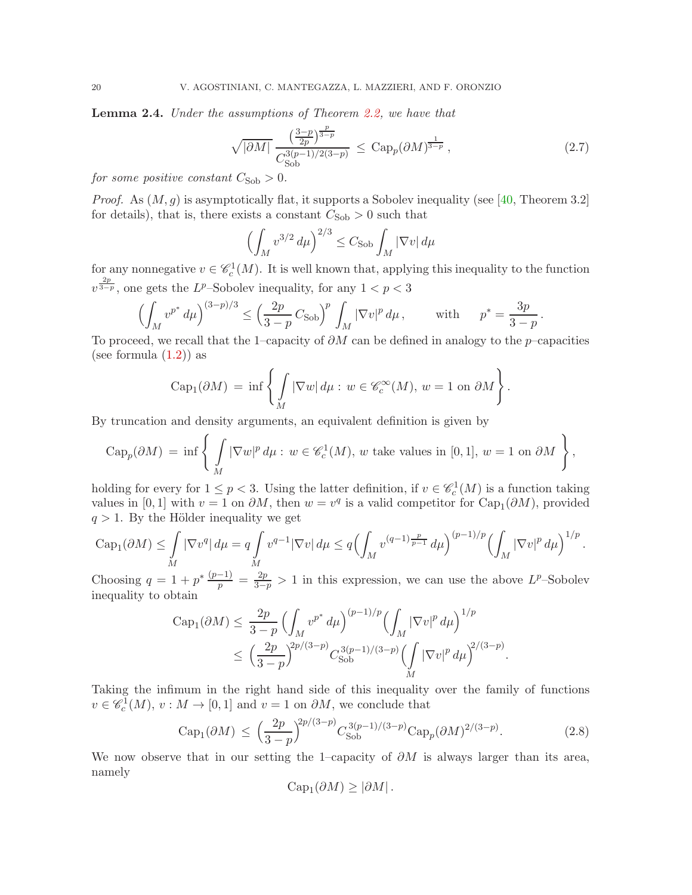Lemma 2.4. *Under the assumptions of Theorem [2.2,](#page-17-0) we have that*

$$
\sqrt{|\partial M|} \frac{\left(\frac{3-p}{2p}\right)^{\frac{p}{3-p}}}{C_{\text{Sob}}^{3(p-1)/2(3-p)}} \leq \text{Cap}_p(\partial M)^{\frac{1}{3-p}},\tag{2.7}
$$

<span id="page-19-0"></span>.

*for some positive constant*  $C_{\text{Sob}} > 0$ *.* 

*Proof.* As  $(M, g)$  is asymptotically flat, it supports a Sobolev inequality (see [\[40,](#page-25-22) Theorem 3.2] for details), that is, there exists a constant  $C_{\text{Sob}} > 0$  such that

$$
\left(\int_M v^{3/2} \, d\mu\right)^{2/3} \le C_{\text{Sob}} \int_M |\nabla v| \, d\mu
$$

for any nonnegative  $v \in \mathcal{C}_c^1(M)$ . It is well known that, applying this inequality to the function  $v^{\frac{2p}{3-p}}$ , one gets the L<sup>p</sup>-Sobolev inequality, for any  $1 < p < 3$ 

$$
\left(\int_M v^{p^*} d\mu\right)^{(3-p)/3} \le \left(\frac{2p}{3-p} C_{\text{Sob}}\right)^p \int_M |\nabla v|^p d\mu, \quad \text{with} \quad p^* = \frac{3p}{3-p}
$$

To proceed, we recall that the 1–capacity of  $\partial M$  can be defined in analogy to the p–capacities (see formula  $(1.2)$ ) as

$$
Cap_1(\partial M) = \inf \left\{ \int_M |\nabla w| d\mu : w \in \mathscr{C}_c^{\infty}(M), w = 1 \text{ on } \partial M \right\}.
$$

By truncation and density arguments, an equivalent definition is given by

$$
\operatorname{Cap}_p(\partial M) = \inf \left\{ \int_M |\nabla w|^p \, d\mu : w \in \mathscr{C}_c^1(M), w \text{ take values in } [0,1], w = 1 \text{ on } \partial M \right\},\
$$

holding for every for  $1 \le p < 3$ . Using the latter definition, if  $v \in \mathcal{C}_c^1(M)$  is a function taking values in [0, 1] with  $v = 1$  on  $\partial M$ , then  $w = v^q$  is a valid competitor for  $Cap_1(\partial M)$ , provided  $q > 1$ . By the Hölder inequality we get

$$
\operatorname{Cap}_1(\partial M) \le \int_M |\nabla v^q| d\mu = q \int_M v^{q-1} |\nabla v| d\mu \le q \Bigl(\int_M v^{(q-1)\frac{p}{p-1}} d\mu\Bigr)^{(p-1)/p} \Bigl(\int_M |\nabla v|^p d\mu\Bigr)^{1/p}.
$$

Choosing  $q = 1 + p^* \frac{(p-1)}{p} = \frac{2p}{3-p} > 1$  in this expression, we can use the above  $L^p$ -Sobolev inequality to obtain

$$
\text{Cap}_1(\partial M) \leq \frac{2p}{3-p} \left( \int_M v^{p^*} d\mu \right)^{(p-1)/p} \left( \int_M |\nabla v|^p d\mu \right)^{1/p} \n\leq \left( \frac{2p}{3-p} \right)^{2p/(3-p)} C_{\text{Sob}}^{3(p-1)/(3-p)} \left( \int_M |\nabla v|^p d\mu \right)^{2/(3-p)}.
$$

Taking the infimum in the right hand side of this inequality over the family of functions  $v \in \mathscr{C}_c^1(M)$ ,  $v : M \to [0,1]$  and  $v = 1$  on  $\partial M$ , we conclude that

$$
Cap_1(\partial M) \le \left(\frac{2p}{3-p}\right)^{2p/(3-p)} C_{Sob}^{3(p-1)/(3-p)} Cap_p(\partial M)^{2/(3-p)}.
$$
 (2.8)

We now observe that in our setting the 1–capacity of  $\partial M$  is always larger than its area, namely

<span id="page-19-1"></span>
$$
Cap_1(\partial M) \ge |\partial M|.
$$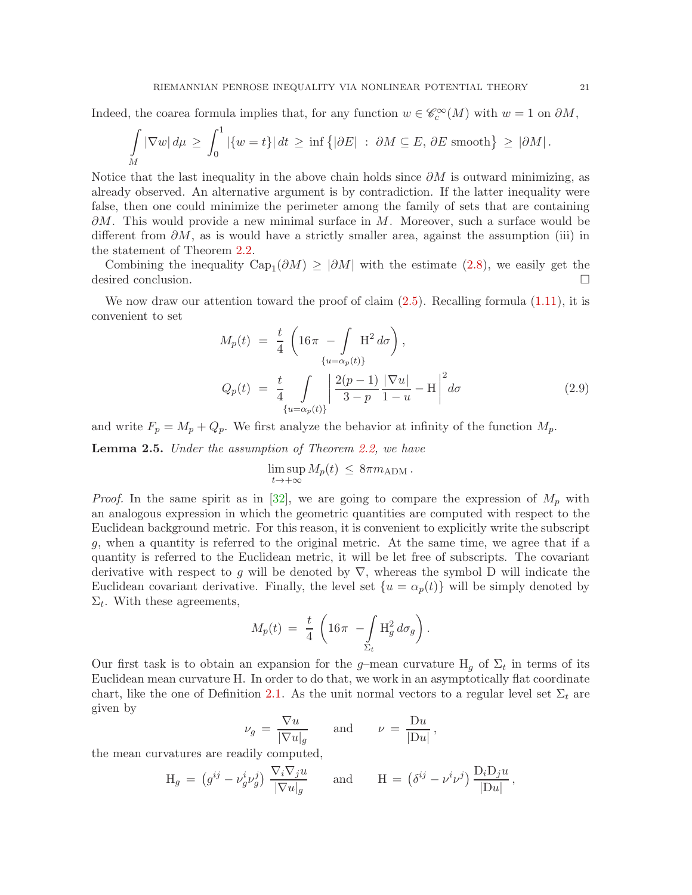Indeed, the coarea formula implies that, for any function  $w \in \mathcal{C}_c^{\infty}(M)$  with  $w = 1$  on  $\partial M$ ,

$$
\int_{M} |\nabla w| d\mu \ge \int_{0}^{1} |\{w=t\}| dt \ge \inf \{|\partial E| : \partial M \subseteq E, \partial E \text{ smooth}\} \ge |\partial M|.
$$

Notice that the last inequality in the above chain holds since  $\partial M$  is outward minimizing, as already observed. An alternative argument is by contradiction. If the latter inequality were false, then one could minimize the perimeter among the family of sets that are containing  $\partial M$ . This would provide a new minimal surface in M. Moreover, such a surface would be different from  $\partial M$ , as is would have a strictly smaller area, against the assumption (iii) in the statement of Theorem [2.2.](#page-17-0)

Combining the inequality  $Cap_1(\partial M) \geq |\partial M|$  with the estimate [\(2.8\)](#page-19-1), we easily get the desired conclusion.

We now draw our attention toward the proof of claim  $(2.5)$ . Recalling formula  $(1.11)$ , it is convenient to set

$$
M_p(t) = \frac{t}{4} \left( 16\pi - \int \mathbf{H}^2 d\sigma \right),
$$
  
\n
$$
Q_p(t) = \frac{t}{4} \int \limits_{\{u = \alpha_p(t)\}} \left| \frac{2(p-1)}{3-p} \frac{|\nabla u|}{1-u} - \mathbf{H} \right|^2 d\sigma
$$
 (2.9)

and write  $F_p = M_p + Q_p$ . We first analyze the behavior at infinity of the function  $M_p$ .

<span id="page-20-0"></span>Lemma 2.5. *Under the assumption of Theorem [2.2,](#page-17-0) we have*

<span id="page-20-1"></span>
$$
\limsup_{t\to+\infty}M_p(t)\,\leq\,8\pi m_{\text{ADM}}\,.
$$

*Proof.* In the same spirit as in [\[32\]](#page-25-2), we are going to compare the expression of  $M_p$  with an analogous expression in which the geometric quantities are computed with respect to the Euclidean background metric. For this reason, it is convenient to explicitly write the subscript g, when a quantity is referred to the original metric. At the same time, we agree that if a quantity is referred to the Euclidean metric, it will be let free of subscripts. The covariant derivative with respect to g will be denoted by  $\nabla$ , whereas the symbol D will indicate the Euclidean covariant derivative. Finally, the level set  $\{u = \alpha_p(t)\}\$  will be simply denoted by  $\Sigma_t$ . With these agreements,

$$
M_p(t) = \frac{t}{4} \left( 16\pi - \int_{\Sigma_t} H_g^2 d\sigma_g \right).
$$

Our first task is to obtain an expansion for the g-mean curvature  $H_g$  of  $\Sigma_t$  in terms of its Euclidean mean curvature H. In order to do that, we work in an asymptotically flat coordinate chart, like the one of Definition [2.1.](#page-16-1) As the unit normal vectors to a regular level set  $\Sigma_t$  are given by

$$
\nu_g = \frac{\nabla u}{|\nabla u|_g} \quad \text{and} \quad \nu = \frac{\mathrm{D}u}{|\mathrm{D}u|},
$$

the mean curvatures are readily computed,

$$
\mathcal{H}_g = (g^{ij} - \nu_g^i \nu_g^j) \frac{\nabla_i \nabla_j u}{|\nabla u|_g} \quad \text{and} \quad \mathcal{H} = (\delta^{ij} - \nu^i \nu^j) \frac{\mathcal{D}_i \mathcal{D}_j u}{|\mathcal{D} u|},
$$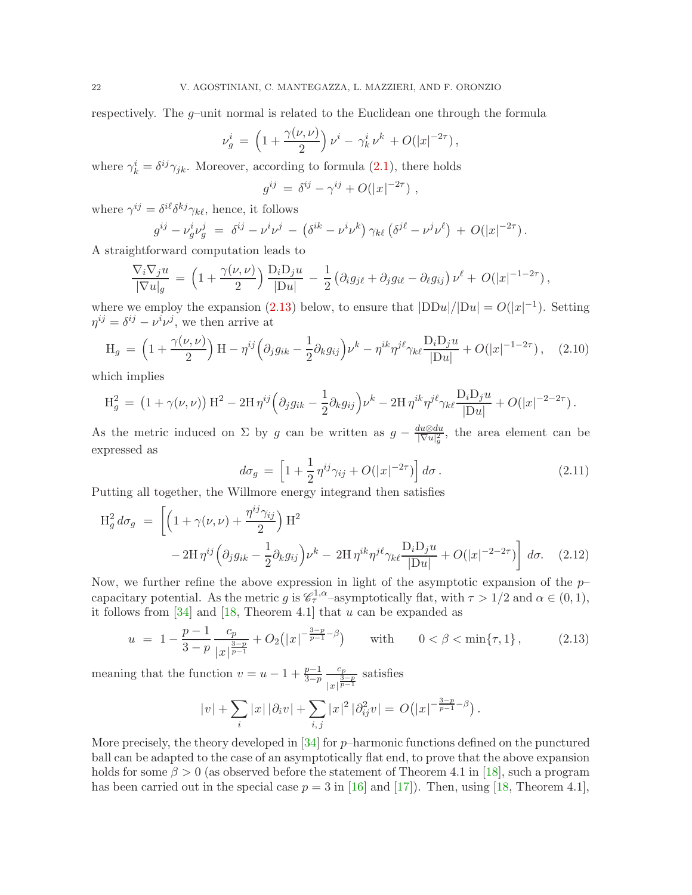respectively. The  $g$ -unit normal is related to the Euclidean one through the formula

$$
\nu_g^i = \left(1 + \frac{\gamma(\nu, \nu)}{2}\right) \nu^i - \gamma_k^i \nu^k + O(|x|^{-2\tau}),
$$

where  $\gamma_k^i = \delta^{ij}\gamma_{jk}$ . Moreover, according to formula [\(2.1\)](#page-17-2), there holds

<span id="page-21-3"></span>
$$
g^{ij} = \delta^{ij} - \gamma^{ij} + O(|x|^{-2\tau}),
$$

where  $\gamma^{ij} = \delta^{i\ell} \delta^{kj} \gamma_{k\ell}$ , hence, it follows

$$
g^{ij} - \nu_g^i \nu_g^j = \delta^{ij} - \nu^i \nu^j - (\delta^{ik} - \nu^i \nu^k) \gamma_{k\ell} (\delta^{j\ell} - \nu^j \nu^{\ell}) + O(|x|^{-2\tau}).
$$

A straightforward computation leads to

$$
\frac{\nabla_i \nabla_j u}{|\nabla u|_g} = \left(1 + \frac{\gamma(\nu, \nu)}{2}\right) \frac{\mathcal{D}_i \mathcal{D}_j u}{|\mathcal{D}_u|} - \frac{1}{2} \left(\partial_i g_{j\ell} + \partial_j g_{i\ell} - \partial_\ell g_{ij}\right) \nu^{\ell} + O(|x|^{-1-2\tau}),
$$

where we employ the expansion [\(2.13\)](#page-21-0) below, to ensure that  $|DDu|/|Du| = O(|x|^{-1})$ . Setting  $\eta^{ij} = \delta^{ij} - \nu^i \nu^j$ , we then arrive at

$$
H_g = \left(1 + \frac{\gamma(\nu, \nu)}{2}\right)H - \eta^{ij}\left(\partial_j g_{ik} - \frac{1}{2}\partial_k g_{ij}\right)\nu^k - \eta^{ik}\eta^{j\ell}\gamma_{k\ell}\frac{D_i D_j u}{|Du|} + O(|x|^{-1-2\tau}), \quad (2.10)
$$

which implies

$$
H_g^2 = (1 + \gamma(\nu, \nu)) H^2 - 2H \eta^{ij} \left( \partial_j g_{ik} - \frac{1}{2} \partial_k g_{ij} \right) \nu^k - 2H \eta^{ik} \eta^{j\ell} \gamma_{k\ell} \frac{D_i D_j u}{|Du|} + O(|x|^{-2-2\tau}).
$$

As the metric induced on  $\Sigma$  by g can be written as  $g - \frac{du \otimes du}{|\nabla u|^2}$  $\frac{du\otimes du}{|\nabla u|_g^2}$ , the area element can be expressed as

<span id="page-21-2"></span><span id="page-21-1"></span>
$$
d\sigma_g = \left[1 + \frac{1}{2}\eta^{ij}\gamma_{ij} + O(|x|^{-2\tau})\right]d\sigma.
$$
\n(2.11)

Putting all together, the Willmore energy integrand then satisfies

$$
\begin{split} \mathcal{H}_{g}^{2} d\sigma_{g} &= \left[ \left( 1 + \gamma(\nu, \nu) + \frac{\eta^{ij} \gamma_{ij}}{2} \right) \mathcal{H}^{2} \right. \\ &\quad - 2\mathcal{H} \,\eta^{ij} \Big( \partial_{j} g_{ik} - \frac{1}{2} \partial_{k} g_{ij} \Big) \nu^{k} - 2\mathcal{H} \,\eta^{ik} \eta^{j\ell} \gamma_{k\ell} \frac{\mathcal{D}_{i} \mathcal{D}_{j} u}{|\mathcal{D}u|} + O(|x|^{-2-2\tau}) \right] \, d\sigma. \end{split} \tag{2.12}
$$

Now, we further refine the above expression in light of the asymptotic expansion of the  $p$ capacitary potential. As the metric g is  $\mathscr{C}_{\tau}^{1,\alpha}$ -asymptotically flat, with  $\tau > 1/2$  and  $\alpha \in (0,1)$ , it follows from  $[34]$  and  $[18,$  Theorem 4.1] that u can be expanded as

$$
u = 1 - \frac{p-1}{3-p} \frac{c_p}{|x|^{\frac{3-p}{p-1}}} + O_2(|x|^{-\frac{3-p}{p-1}-\beta}) \quad \text{with} \quad 0 < \beta < \min\{\tau, 1\},\tag{2.13}
$$

meaning that the function  $v = u - 1 + \frac{p-1}{3-p}$  $c_p$  $\frac{c_p}{|x|^{\frac{3-p}{p-1}}}$  satisfies

<span id="page-21-0"></span>
$$
|v| + \sum_{i} |x| |\partial_i v| + \sum_{i,j} |x|^2 |\partial_{ij}^2 v| = O(|x|^{-\frac{3-p}{p-1}-\beta}).
$$

More precisely, the theory developed in  $[34]$  for  $p$ –harmonic functions defined on the punctured ball can be adapted to the case of an asymptotically flat end, to prove that the above expansion holds for some  $\beta > 0$  (as observed before the statement of Theorem 4.1 in [\[18\]](#page-24-15), such a program has been carried out in the special case  $p = 3$  in [\[16\]](#page-24-16) and [\[17\]](#page-24-17)). Then, using [\[18,](#page-24-15) Theorem 4.1],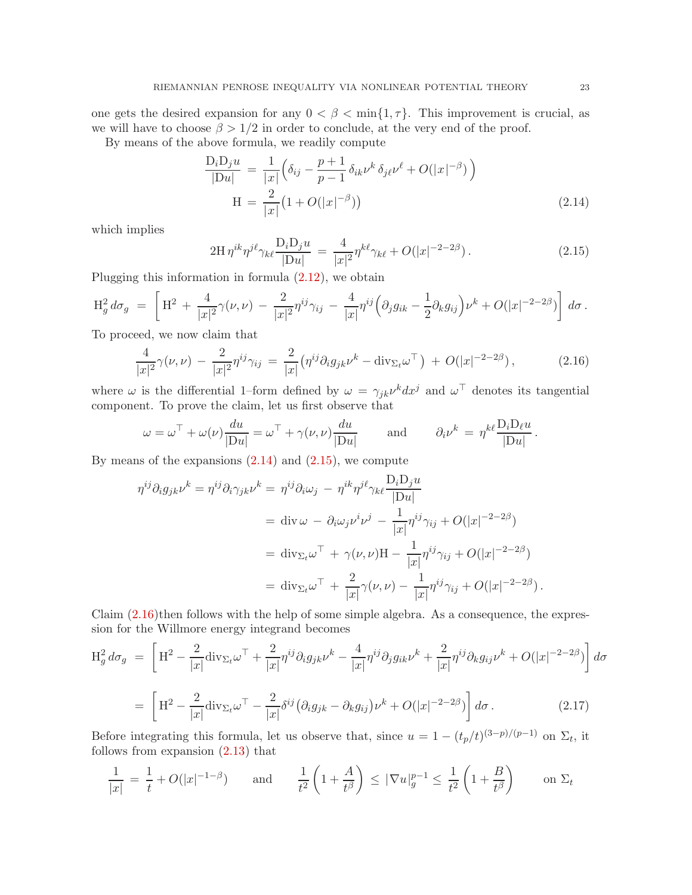one gets the desired expansion for any  $0 < \beta < \min\{1, \tau\}$ . This improvement is crucial, as we will have to choose  $\beta > 1/2$  in order to conclude, at the very end of the proof.

By means of the above formula, we readily compute

$$
\frac{D_i D_j u}{|Du|} = \frac{1}{|x|} \left( \delta_{ij} - \frac{p+1}{p-1} \delta_{ik} \nu^k \delta_{j\ell} \nu^{\ell} + O(|x|^{-\beta}) \right)
$$
  
\n
$$
H = \frac{2}{|x|} (1 + O(|x|^{-\beta}))
$$
\n(2.14)

which implies

<span id="page-22-2"></span><span id="page-22-1"></span><span id="page-22-0"></span>
$$
2H \eta^{ik} \eta^{j\ell} \gamma_{k\ell} \frac{D_i D_j u}{|Du|} = \frac{4}{|x|^2} \eta^{k\ell} \gamma_{k\ell} + O(|x|^{-2-2\beta}). \tag{2.15}
$$

Plugging this information in formula  $(2.12)$ , we obtain

$$
\mathrm{H}^2_g d\sigma_g = \left[ \mathrm{H}^2 + \frac{4}{|x|^2} \gamma(\nu,\nu) - \frac{2}{|x|^2} \eta^{ij} \gamma_{ij} - \frac{4}{|x|} \eta^{ij} \left( \partial_j g_{ik} - \frac{1}{2} \partial_k g_{ij} \right) \nu^k + O(|x|^{-2-2\beta}) \right] d\sigma.
$$

To proceed, we now claim that

$$
\frac{4}{|x|^2}\gamma(\nu,\nu) - \frac{2}{|x|^2}\eta^{ij}\gamma_{ij} = \frac{2}{|x|}\left(\eta^{ij}\partial_i g_{jk}\nu^k - \text{div}_{\Sigma_t}\omega^{\top}\right) + O(|x|^{-2-2\beta}),\tag{2.16}
$$

where  $\omega$  is the differential 1–form defined by  $\omega = \gamma_{jk} \nu^k dx^j$  and  $\omega^{\top}$  denotes its tangential component. To prove the claim, let us first observe that

$$
\omega = \omega^{\top} + \omega(\nu) \frac{du}{|Du|} = \omega^{\top} + \gamma(\nu, \nu) \frac{du}{|Du|} \quad \text{and} \quad \partial_i \nu^k = \eta^{k\ell} \frac{D_i D_\ell u}{|Du|}.
$$

By means of the expansions  $(2.14)$  and  $(2.15)$ , we compute

$$
\eta^{ij}\partial_i g_{jk}\nu^k = \eta^{ij}\partial_i \gamma_{jk}\nu^k = \eta^{ij}\partial_i \omega_j - \eta^{ik}\eta^{j\ell}\gamma_{k\ell} \frac{\mathcal{D}_i \mathcal{D}_j u}{|\mathcal{D}u|}
$$
  
\n
$$
= \operatorname{div} \omega - \partial_i \omega_j \nu^i \nu^j - \frac{1}{|x|} \eta^{ij} \gamma_{ij} + O(|x|^{-2-2\beta})
$$
  
\n
$$
= \operatorname{div}_{\Sigma_t} \omega^{\top} + \gamma(\nu, \nu) \mathcal{H} - \frac{1}{|x|} \eta^{ij} \gamma_{ij} + O(|x|^{-2-2\beta})
$$
  
\n
$$
= \operatorname{div}_{\Sigma_t} \omega^{\top} + \frac{2}{|x|} \gamma(\nu, \nu) - \frac{1}{|x|} \eta^{ij} \gamma_{ij} + O(|x|^{-2-2\beta}).
$$

Claim  $(2.16)$  then follows with the help of some simple algebra. As a consequence, the expression for the Willmore energy integrand becomes

$$
\begin{split} \mathcal{H}_{g}^{2} d\sigma_{g} &= \left[ \mathcal{H}^{2} - \frac{2}{|x|} \text{div}_{\Sigma_{t}} \omega^{\top} + \frac{2}{|x|} \eta^{ij} \partial_{i} g_{jk} \nu^{k} - \frac{4}{|x|} \eta^{ij} \partial_{j} g_{ik} \nu^{k} + \frac{2}{|x|} \eta^{ij} \partial_{k} g_{ij} \nu^{k} + O(|x|^{-2-2\beta}) \right] d\sigma \\ &= \left[ \mathcal{H}^{2} - \frac{2}{|x|} \text{div}_{\Sigma_{t}} \omega^{\top} - \frac{2}{|x|} \delta^{ij} \left( \partial_{i} g_{jk} - \partial_{k} g_{ij} \right) \nu^{k} + O(|x|^{-2-2\beta}) \right] d\sigma \,. \end{split} \tag{2.17}
$$

Before integrating this formula, let us observe that, since  $u = 1 - (t_p/t)^{(3-p)/(p-1)}$  on  $\Sigma_t$ , it follows from expansion [\(2.13\)](#page-21-0) that

<span id="page-22-3"></span>
$$
\frac{1}{|x|} = \frac{1}{t} + O(|x|^{-1-\beta}) \quad \text{and} \quad \frac{1}{t^2} \left(1 + \frac{A}{t^{\beta}}\right) \le |\nabla u|_g^{p-1} \le \frac{1}{t^2} \left(1 + \frac{B}{t^{\beta}}\right) \quad \text{on } \Sigma_t
$$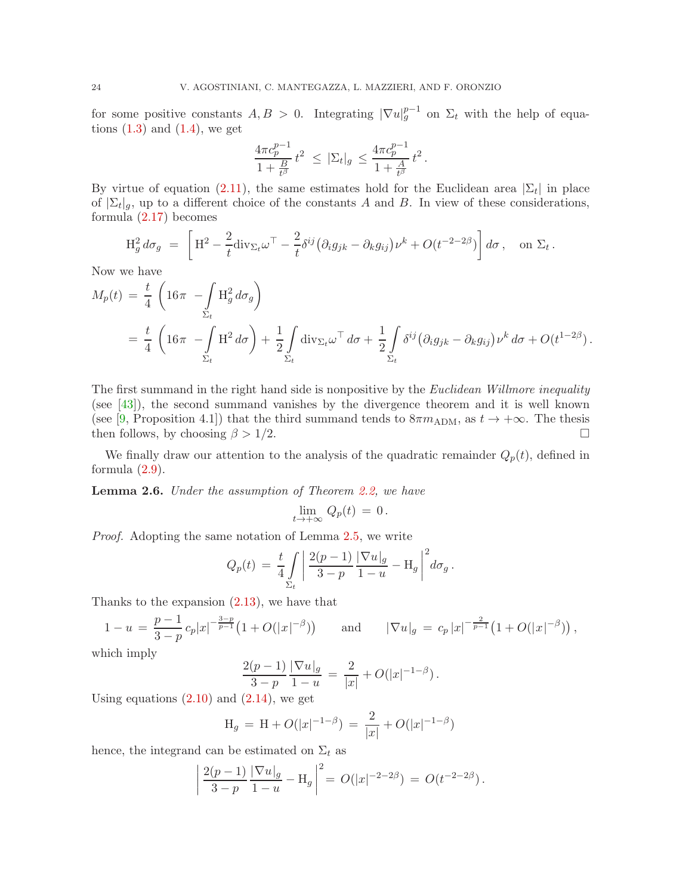for some positive constants  $A, B > 0$ . Integrating  $|\nabla u|_g^{p-1}$  on  $\Sigma_t$  with the help of equations  $(1.3)$  and  $(1.4)$ , we get

$$
\frac{4\pi c_p^{p-1}}{1+\frac{B}{t^{\beta}}}t^2 \ \leq \ |\Sigma_t|_g \ \leq \frac{4\pi c_p^{p-1}}{1+\frac{A}{t^{\beta}}}t^2 \, .
$$

By virtue of equation [\(2.11\)](#page-21-2), the same estimates hold for the Euclidean area  $|\Sigma_t|$  in place of  $\sum_t |g|$ , up to a different choice of the constants A and B. In view of these considerations, formula [\(2.17\)](#page-22-3) becomes

$$
\mathcal{H}_g^2 d\sigma_g = \left[ \mathcal{H}^2 - \frac{2}{t} \text{div}_{\Sigma_t} \omega^\top - \frac{2}{t} \delta^{ij} \left( \partial_i g_{jk} - \partial_k g_{ij} \right) \nu^k + O(t^{-2-2\beta}) \right] d\sigma, \text{ on } \Sigma_t
$$

.

Now we have

$$
M_p(t) = \frac{t}{4} \left( 16\pi - \int_{\Sigma_t} H_g^2 d\sigma_g \right)
$$
  
=  $\frac{t}{4} \left( 16\pi - \int_{\Sigma_t} H_g^2 d\sigma \right) + \frac{1}{2} \int_{\Sigma_t} \text{div}_{\Sigma_t} \omega^\top d\sigma + \frac{1}{2} \int_{\Sigma_t} \delta^{ij} (\partial_i g_{jk} - \partial_k g_{ij}) \nu^k d\sigma + O(t^{1-2\beta}).$ 

The first summand in the right hand side is nonpositive by the *Euclidean Willmore inequality* (see [\[43\]](#page-25-24)), the second summand vanishes by the divergence theorem and it is well known (see [\[9,](#page-24-13) Proposition 4.1]) that the third summand tends to  $8\pi m_{\text{ADM}}$ , as  $t \to +\infty$ . The thesis then follows, by choosing  $\beta > 1/2$ .

We finally draw our attention to the analysis of the quadratic remainder  $Q_p(t)$ , defined in formula  $(2.9)$ .

<span id="page-23-0"></span>Lemma 2.6. *Under the assumption of Theorem [2.2,](#page-17-0) we have*

$$
\lim_{t\to+\infty}\,Q_p(t)\,=\,0\,.
$$

*Proof.* Adopting the same notation of Lemma [2.5,](#page-20-0) we write

$$
Q_p(t) = \frac{t}{4} \int\limits_{\Sigma_t} \left| \frac{2(p-1)}{3-p} \frac{|\nabla u|_g}{1-u} - \mathcal{H}_g \right|^2 d\sigma_g.
$$

Thanks to the expansion [\(2.13\)](#page-21-0), we have that

$$
1 - u = \frac{p-1}{3-p} c_p |x|^{-\frac{3-p}{p-1}} \left( 1 + O(|x|^{-\beta}) \right) \quad \text{and} \quad |\nabla u|_g = c_p |x|^{-\frac{2}{p-1}} \left( 1 + O(|x|^{-\beta}) \right),
$$

which imply

$$
\frac{2(p-1)}{3-p} \frac{|\nabla u|_g}{1-u} = \frac{2}{|x|} + O(|x|^{-1-\beta}).
$$

Using equations  $(2.10)$  and  $(2.14)$ , we get

$$
H_g = H + O(|x|^{-1-\beta}) = \frac{2}{|x|} + O(|x|^{-1-\beta})
$$

hence, the integrand can be estimated on  $\Sigma_t$  as

$$
\left| \frac{2(p-1)}{3-p} \frac{|\nabla u|_g}{1-u} - \mathcal{H}_g \right|^2 = O(|x|^{-2-2\beta}) = O(t^{-2-2\beta}).
$$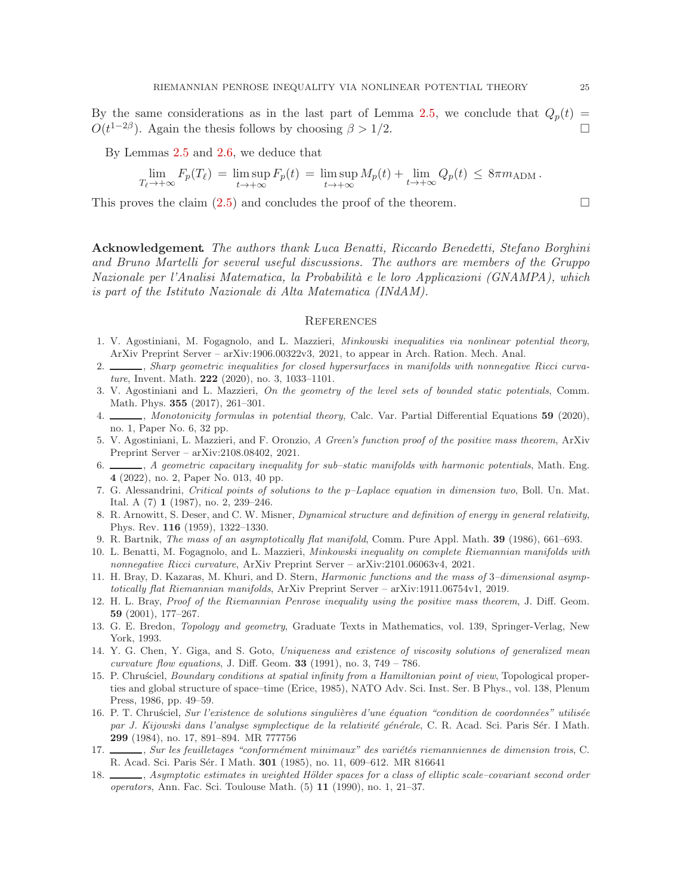By the same considerations as in the last part of Lemma [2.5,](#page-20-0) we conclude that  $Q_p(t)$  $O(t^{1-2\beta})$ . Again the thesis follows by choosing  $\beta > 1/2$ .

By Lemmas [2.5](#page-20-0) and [2.6,](#page-23-0) we deduce that

$$
\lim_{T_{\ell} \to +\infty} F_p(T_{\ell}) = \limsup_{t \to +\infty} F_p(t) = \limsup_{t \to +\infty} M_p(t) + \lim_{t \to +\infty} Q_p(t) \leq 8\pi m_{\text{ADM}}.
$$

This proves the claim  $(2.5)$  and concludes the proof of the theorem.

Acknowledgement. *The authors thank Luca Benatti, Riccardo Benedetti, Stefano Borghini and Bruno Martelli for several useful discussions. The authors are members of the Gruppo Nazionale per l'Analisi Matematica, la Probabilit`a e le loro Applicazioni (GNAMPA), which is part of the Istituto Nazionale di Alta Matematica (INdAM).*

#### **REFERENCES**

- <span id="page-24-1"></span>1. V. Agostiniani, M. Fogagnolo, and L. Mazzieri, Minkowski inequalities via nonlinear potential theory, ArXiv Preprint Server – arXiv:1906.00322v3, 2021, to appear in Arch. Ration. Mech. Anal.
- <span id="page-24-3"></span>2. , Sharp geometric inequalities for closed hypersurfaces in manifolds with nonnegative Ricci curvature, Invent. Math. 222 (2020), no. 3, 1033–1101.
- <span id="page-24-6"></span>3. V. Agostiniani and L. Mazzieri, On the geometry of the level sets of bounded static potentials, Comm. Math. Phys. 355 (2017), 261–301.
- <span id="page-24-4"></span>4. Monotonicity formulas in potential theory, Calc. Var. Partial Differential Equations 59 (2020), no. 1, Paper No. 6, 32 pp.
- <span id="page-24-5"></span>5. V. Agostiniani, L. Mazzieri, and F. Oronzio, A Green's function proof of the positive mass theorem, ArXiv Preprint Server – arXiv:2108.08402, 2021.
- <span id="page-24-7"></span>6.  $\_\_\_\$ n, A geometric capacitary inequality for sub-static manifolds with harmonic potentials, Math. Eng. 4 (2022), no. 2, Paper No. 013, 40 pp.
- <span id="page-24-9"></span>7. G. Alessandrini, Critical points of solutions to the  $p$ -Laplace equation in dimension two, Boll. Un. Mat. Ital. A (7) 1 (1987), no. 2, 239–246.
- <span id="page-24-12"></span>8. R. Arnowitt, S. Deser, and C. W. Misner, *Dynamical structure and definition of energy in general relativity*, Phys. Rev. 116 (1959), 1322–1330.
- <span id="page-24-13"></span><span id="page-24-2"></span>9. R. Bartnik, The mass of an asymptotically flat manifold, Comm. Pure Appl. Math. 39 (1986), 661–693.
- 10. L. Benatti, M. Fogagnolo, and L. Mazzieri, Minkowski inequality on complete Riemannian manifolds with nonnegative Ricci curvature, ArXiv Preprint Server – arXiv:2101.06063v4, 2021.
- <span id="page-24-8"></span>11. H. Bray, D. Kazaras, M. Khuri, and D. Stern, *Harmonic functions and the mass of 3–dimensional asymp*totically flat Riemannian manifolds, ArXiv Preprint Server – arXiv:1911.06754v1, 2019.
- <span id="page-24-11"></span>12. H. L. Bray, Proof of the Riemannian Penrose inequality using the positive mass theorem, J. Diff. Geom. 59 (2001), 177–267.
- <span id="page-24-10"></span>13. G. E. Bredon, Topology and geometry, Graduate Texts in Mathematics, vol. 139, Springer-Verlag, New York, 1993.
- <span id="page-24-0"></span>14. Y. G. Chen, Y. Giga, and S. Goto, Uniqueness and existence of viscosity solutions of generalized mean *curvature flow equations, J. Diff. Geom.* **33** (1991), no. 3,  $749 - 786$ .
- <span id="page-24-14"></span>15. P. Chrusciel, Boundary conditions at spatial infinity from a Hamiltonian point of view, Topological properties and global structure of space–time (Erice, 1985), NATO Adv. Sci. Inst. Ser. B Phys., vol. 138, Plenum Press, 1986, pp. 49–59.
- <span id="page-24-16"></span>16. P. T. Chrusciel, Sur l'existence de solutions singulières d'une équation "condition de coordonnées" utilisée par J. Kijowski dans l'analyse symplectique de la relativité générale, C. R. Acad. Sci. Paris Sér. I Math. 299 (1984), no. 17, 891–894. MR 777756
- <span id="page-24-17"></span>17. Sur les feuilletages "conformément minimaux" des variétés riemanniennes de dimension trois, C. R. Acad. Sci. Paris Sér. I Math. **301** (1985), no. 11, 609-612. MR 816641
- <span id="page-24-15"></span>18. , Asymptotic estimates in weighted Hölder spaces for a class of elliptic scale–covariant second order operators, Ann. Fac. Sci. Toulouse Math. (5) 11 (1990), no. 1, 21–37.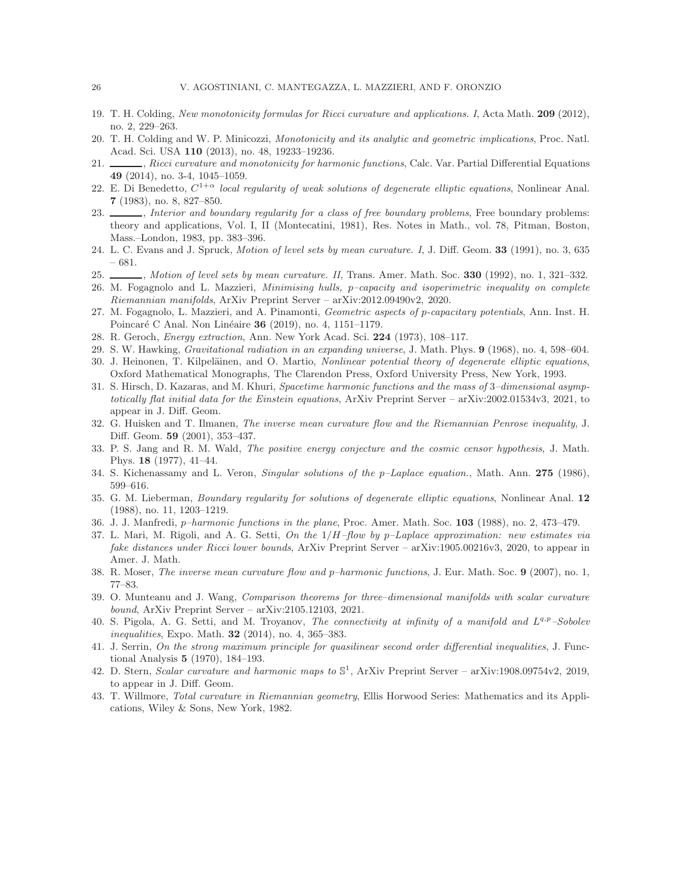- <span id="page-25-10"></span><span id="page-25-8"></span>19. T. H. Colding, New monotonicity formulas for Ricci curvature and applications. I, Acta Math. 209 (2012), no. 2, 229–263.
- <span id="page-25-9"></span>20. T. H. Colding and W. P. Minicozzi, Monotonicity and its analytic and geometric implications, Proc. Natl. Acad. Sci. USA 110 (2013), no. 48, 19233–19236.
- 21.  $\_\_\_\_\$ , Ricci curvature and monotonicity for harmonic functions, Calc. Var. Partial Differential Equations 49 (2014), no. 3-4, 1045–1059.
- <span id="page-25-15"></span>22. E. Di Benedetto,  $C^{1+\alpha}$  local regularity of weak solutions of degenerate elliptic equations, Nonlinear Anal. 7 (1983), no. 8, 827–850.
- <span id="page-25-16"></span>23.  $\_\_\_\_\_\_\_\$ nterior and boundary regularity for a class of free boundary problems, Free boundary problems: theory and applications, Vol. I, II (Montecatini, 1981), Res. Notes in Math., vol. 78, Pitman, Boston, Mass.–London, 1983, pp. 383–396.
- <span id="page-25-1"></span><span id="page-25-0"></span>24. L. C. Evans and J. Spruck, *Motion of level sets by mean curvature. I*, J. Diff. Geom. **33** (1991), no. 3, 635 – 681.
- <span id="page-25-21"></span>25. Motion of level sets by mean curvature. II, Trans. Amer. Math. Soc. 330 (1992), no. 1, 321–332.
- 26. M. Fogagnolo and L. Mazzieri, Minimising hulls, p–capacity and isoperimetric inequality on complete Riemannian manifolds, ArXiv Preprint Server – arXiv:2012.09490v2, 2020.
- <span id="page-25-7"></span>27. M. Fogagnolo, L. Mazzieri, and A. Pinamonti, Geometric aspects of p-capacitary potentials, Ann. Inst. H. Poincaré C Anal. Non Linéaire 36 (2019), no. 4, 1151–1179.
- <span id="page-25-17"></span><span id="page-25-3"></span>28. R. Geroch, Energy extraction, Ann. New York Acad. Sci. 224 (1973), 108–117.
- <span id="page-25-14"></span>29. S. W. Hawking, Gravitational radiation in an expanding universe, J. Math. Phys. 9 (1968), no. 4, 598–604. 30. J. Heinonen, T. Kilpeläinen, and O. Martio, Nonlinear potential theory of degenerate elliptic equations,
- <span id="page-25-11"></span>Oxford Mathematical Monographs, The Clarendon Press, Oxford University Press, New York, 1993.
- 31. S. Hirsch, D. Kazaras, and M. Khuri, Spacetime harmonic functions and the mass of 3–dimensional asymptotically flat initial data for the Einstein equations, ArXiv Preprint Server – arXiv:2002.01534v3, 2021, to appear in J. Diff. Geom.
- <span id="page-25-2"></span>32. G. Huisken and T. Ilmanen, The inverse mean curvature flow and the Riemannian Penrose inequality, J. Diff. Geom. 59 (2001), 353–437.
- <span id="page-25-4"></span>33. P. S. Jang and R. M. Wald, The positive energy conjecture and the cosmic censor hypothesis, J. Math. Phys. 18 (1977), 41–44.
- <span id="page-25-23"></span><span id="page-25-20"></span>34. S. Kichenassamy and L. Veron, Singular solutions of the p–Laplace equation., Math. Ann. 275 (1986), 599–616.
- 35. G. M. Lieberman, Boundary regularity for solutions of degenerate elliptic equations, Nonlinear Anal. 12 (1988), no. 11, 1203–1219.
- <span id="page-25-18"></span><span id="page-25-6"></span>36. J. J. Manfredi, p–harmonic functions in the plane, Proc. Amer. Math. Soc. 103 (1988), no. 2, 473–479.
- 37. L. Mari, M. Rigoli, and A. G. Setti, On the  $1/H$ -flow by p–Laplace approximation: new estimates via fake distances under Ricci lower bounds, ArXiv Preprint Server – arXiv:1905.00216v3, 2020, to appear in Amer. J. Math.
- <span id="page-25-12"></span><span id="page-25-5"></span>38. R. Moser, The inverse mean curvature flow and p–harmonic functions, J. Eur. Math. Soc. 9 (2007), no. 1, 77–83.
- 39. O. Munteanu and J. Wang, Comparison theorems for three–dimensional manifolds with scalar curvature bound, ArXiv Preprint Server – arXiv:2105.12103, 2021.
- <span id="page-25-22"></span>40. S. Pigola, A. G. Setti, and M. Troyanov, *The connectivity at infinity of a manifold and*  $L^{q,p}$ -Sobolev inequalities, Expo. Math. 32 (2014), no. 4, 365–383.
- <span id="page-25-19"></span>41. J. Serrin, On the strong maximum principle for quasilinear second order differential inequalities, J. Functional Analysis 5 (1970), 184–193.
- <span id="page-25-13"></span>42. D. Stern, Scalar curvature and harmonic maps to  $\mathbb{S}^1$ , ArXiv Preprint Server – arXiv:1908.09754v2, 2019, to appear in J. Diff. Geom.
- <span id="page-25-24"></span>43. T. Willmore, Total curvature in Riemannian geometry, Ellis Horwood Series: Mathematics and its Applications, Wiley & Sons, New York, 1982.